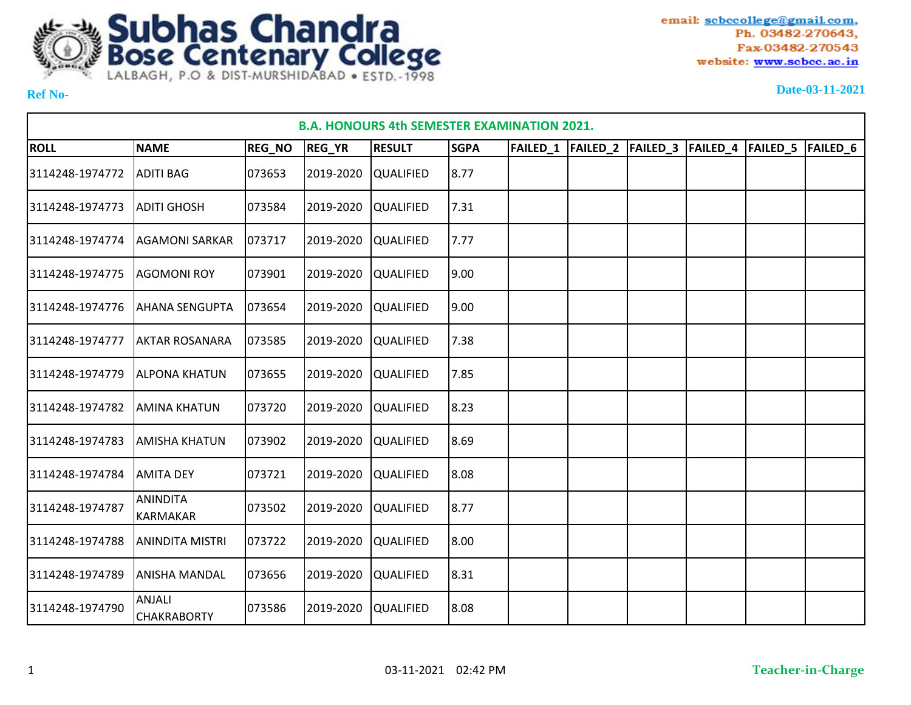

| <b>B.A. HONOURS 4th SEMESTER EXAMINATION 2021.</b><br>FAILED_1  FAILED_2  FAILED_3<br> FAILED_4  FAILED_5  FAILED_6 |                                     |               |               |                  |             |  |  |  |  |  |  |  |  |
|---------------------------------------------------------------------------------------------------------------------|-------------------------------------|---------------|---------------|------------------|-------------|--|--|--|--|--|--|--|--|
| <b>ROLL</b>                                                                                                         | <b>NAME</b>                         | <b>REG_NO</b> | <b>REG_YR</b> | <b>RESULT</b>    | <b>SGPA</b> |  |  |  |  |  |  |  |  |
| 3114248-1974772                                                                                                     | <b>ADITI BAG</b>                    | 073653        | 2019-2020     | <b>QUALIFIED</b> | 8.77        |  |  |  |  |  |  |  |  |
| 3114248-1974773                                                                                                     | <b>ADITI GHOSH</b>                  | 073584        | 2019-2020     | <b>QUALIFIED</b> | 7.31        |  |  |  |  |  |  |  |  |
| 3114248-1974774                                                                                                     | <b>AGAMONI SARKAR</b>               | 073717        | 2019-2020     | <b>QUALIFIED</b> | 7.77        |  |  |  |  |  |  |  |  |
| 3114248-1974775                                                                                                     | <b>AGOMONI ROY</b>                  | 073901        | 2019-2020     | <b>QUALIFIED</b> | 9.00        |  |  |  |  |  |  |  |  |
| 3114248-1974776                                                                                                     | <b>AHANA SENGUPTA</b>               | 073654        | 2019-2020     | <b>QUALIFIED</b> | 9.00        |  |  |  |  |  |  |  |  |
| 3114248-1974777                                                                                                     | <b>AKTAR ROSANARA</b>               | 073585        | 2019-2020     | <b>QUALIFIED</b> | 7.38        |  |  |  |  |  |  |  |  |
| 3114248-1974779                                                                                                     | <b>ALPONA KHATUN</b>                | 073655        | 2019-2020     | <b>QUALIFIED</b> | 7.85        |  |  |  |  |  |  |  |  |
| 3114248-1974782                                                                                                     | <b>AMINA KHATUN</b>                 | 073720        | 2019-2020     | <b>QUALIFIED</b> | 8.23        |  |  |  |  |  |  |  |  |
| 3114248-1974783                                                                                                     | <b>AMISHA KHATUN</b>                | 073902        | 2019-2020     | <b>QUALIFIED</b> | 8.69        |  |  |  |  |  |  |  |  |
| 3114248-1974784                                                                                                     | <b>AMITA DEY</b>                    | 073721        | 2019-2020     | <b>QUALIFIED</b> | 8.08        |  |  |  |  |  |  |  |  |
| 3114248-1974787                                                                                                     | <b>ANINDITA</b><br>KARMAKAR         | 073502        | 2019-2020     | <b>QUALIFIED</b> | 8.77        |  |  |  |  |  |  |  |  |
| 3114248-1974788                                                                                                     | <b>ANINDITA MISTRI</b>              | 073722        | 2019-2020     | <b>QUALIFIED</b> | 8.00        |  |  |  |  |  |  |  |  |
| 3114248-1974789                                                                                                     | <b>ANISHA MANDAL</b>                | 073656        | 2019-2020     | <b>QUALIFIED</b> | 8.31        |  |  |  |  |  |  |  |  |
| 3114248-1974790                                                                                                     | <b>ANJALI</b><br><b>CHAKRABORTY</b> | 073586        | 2019-2020     | <b>QUALIFIED</b> | 8.08        |  |  |  |  |  |  |  |  |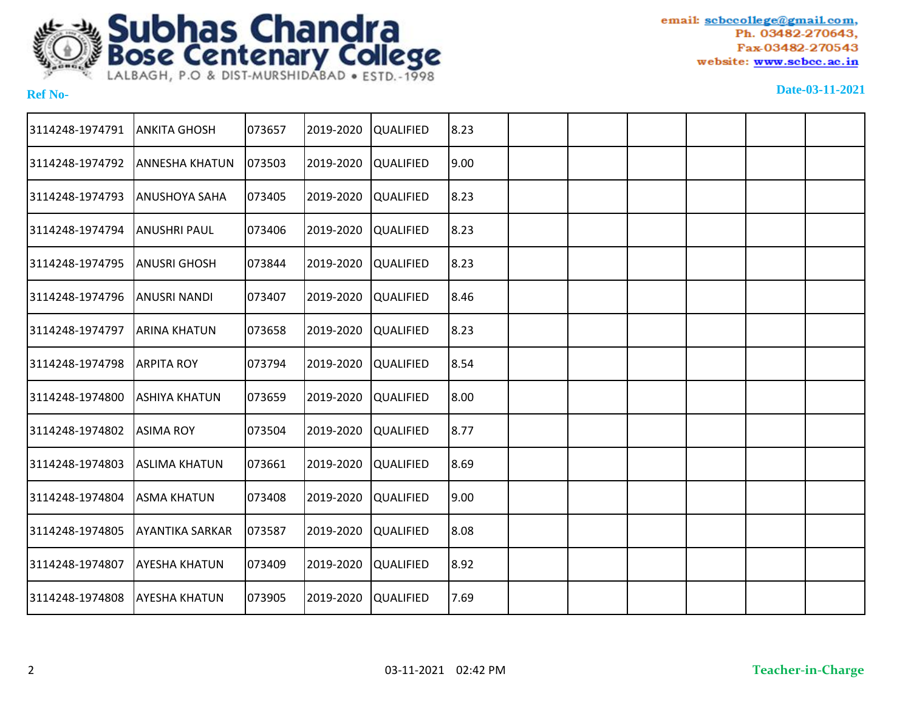

| 3114248-1974791 | <b>ANKITA GHOSH</b>    | 073657 | 2019-2020 | <b>QUALIFIED</b> | 8.23  |  |  |  |
|-----------------|------------------------|--------|-----------|------------------|-------|--|--|--|
| 3114248-1974792 | <b>ANNESHA KHATUN</b>  | 073503 | 2019-2020 | <b>QUALIFIED</b> | 9.00  |  |  |  |
| 3114248-1974793 | <b>ANUSHOYA SAHA</b>   | 073405 | 2019-2020 | <b>QUALIFIED</b> | 8.23  |  |  |  |
| 3114248-1974794 | <b>ANUSHRI PAUL</b>    | 073406 | 2019-2020 | <b>QUALIFIED</b> | 8.23  |  |  |  |
| 3114248-1974795 | <b>ANUSRI GHOSH</b>    | 073844 | 2019-2020 | <b>QUALIFIED</b> | 8.23  |  |  |  |
| 3114248-1974796 | <b>ANUSRI NANDI</b>    | 073407 | 2019-2020 | <b>QUALIFIED</b> | 8.46  |  |  |  |
| 3114248-1974797 | <b>ARINA KHATUN</b>    | 073658 | 2019-2020 | <b>QUALIFIED</b> | 8.23  |  |  |  |
| 3114248-1974798 | <b>ARPITA ROY</b>      | 073794 | 2019-2020 | <b>QUALIFIED</b> | 8.54  |  |  |  |
| 3114248-1974800 | <b>ASHIYA KHATUN</b>   | 073659 | 2019-2020 | <b>QUALIFIED</b> | 8.00  |  |  |  |
| 3114248-1974802 | <b>ASIMA ROY</b>       | 073504 | 2019-2020 | <b>QUALIFIED</b> | 8.77  |  |  |  |
| 3114248-1974803 | <b>ASLIMA KHATUN</b>   | 073661 | 2019-2020 | <b>QUALIFIED</b> | 8.69  |  |  |  |
| 3114248-1974804 | <b>ASMA KHATUN</b>     | 073408 | 2019-2020 | <b>QUALIFIED</b> | 19.00 |  |  |  |
| 3114248-1974805 | <b>AYANTIKA SARKAR</b> | 073587 | 2019-2020 | <b>QUALIFIED</b> | 8.08  |  |  |  |
| 3114248-1974807 | <b>AYESHA KHATUN</b>   | 073409 | 2019-2020 | <b>QUALIFIED</b> | 8.92  |  |  |  |
| 3114248-1974808 | <b>AYESHA KHATUN</b>   | 073905 | 2019-2020 | <b>QUALIFIED</b> | 7.69  |  |  |  |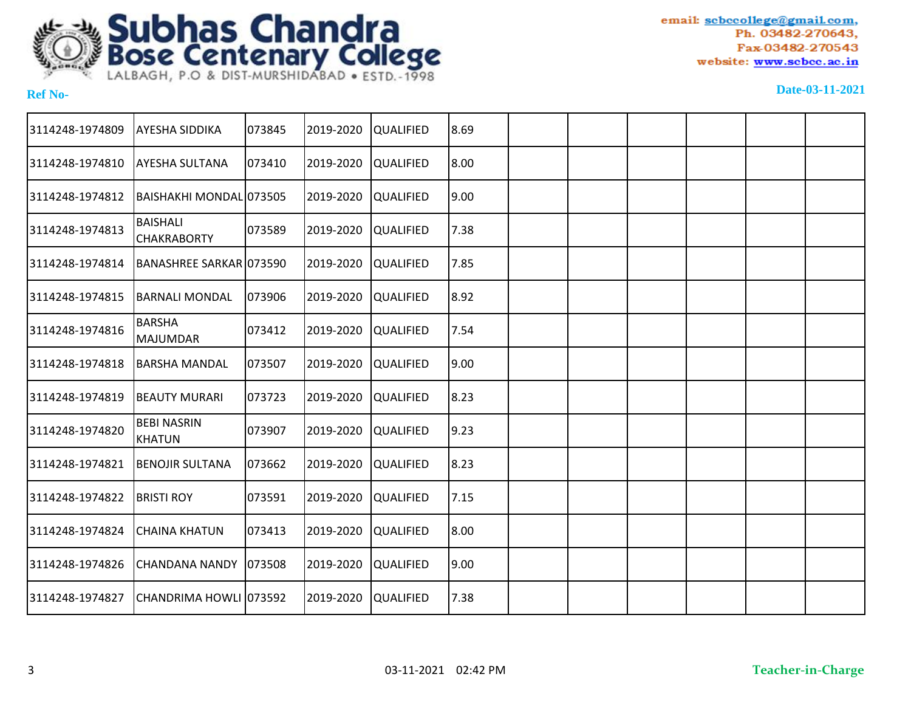

| 3114248-1974809 | AYESHA SIDDIKA                        | 073845 | 2019-2020 | QUALIFIED        | 8.69  |  |  |  |
|-----------------|---------------------------------------|--------|-----------|------------------|-------|--|--|--|
| 3114248-1974810 | <b>AYESHA SULTANA</b>                 | 073410 | 2019-2020 | <b>QUALIFIED</b> | 8.00  |  |  |  |
| 3114248-1974812 | BAISHAKHI MONDAL 073505               |        | 2019-2020 | <b>QUALIFIED</b> | 9.00  |  |  |  |
| 3114248-1974813 | <b>BAISHALI</b><br><b>CHAKRABORTY</b> | 073589 | 2019-2020 | QUALIFIED        | 7.38  |  |  |  |
| 3114248-1974814 | BANASHREE SARKAR 073590               |        | 2019-2020 | QUALIFIED        | 7.85  |  |  |  |
| 3114248-1974815 | <b>BARNALI MONDAL</b>                 | 073906 | 2019-2020 | QUALIFIED        | 8.92  |  |  |  |
| 3114248-1974816 | <b>BARSHA</b><br><b>MAJUMDAR</b>      | 073412 | 2019-2020 | QUALIFIED        | 7.54  |  |  |  |
| 3114248-1974818 | <b>BARSHA MANDAL</b>                  | 073507 | 2019-2020 | QUALIFIED        | 9.00  |  |  |  |
| 3114248-1974819 | BEAUTY MURARI                         | 073723 | 2019-2020 | <b>QUALIFIED</b> | 8.23  |  |  |  |
| 3114248-1974820 | <b>BEBI NASRIN</b><br><b>KHATUN</b>   | 073907 | 2019-2020 | QUALIFIED        | 9.23  |  |  |  |
| 3114248-1974821 | <b>BENOJIR SULTANA</b>                | 073662 | 2019-2020 | QUALIFIED        | 8.23  |  |  |  |
| 3114248-1974822 | <b>BRISTI ROY</b>                     | 073591 | 2019-2020 | QUALIFIED        | 7.15  |  |  |  |
| 3114248-1974824 | <b>CHAINA KHATUN</b>                  | 073413 | 2019-2020 | QUALIFIED        | 8.00  |  |  |  |
| 3114248-1974826 | <b>CHANDANA NANDY</b>                 | 073508 | 2019-2020 | <b>QUALIFIED</b> | 19.00 |  |  |  |
| 3114248-1974827 | CHANDRIMA HOWLI 073592                |        | 2019-2020 | QUALIFIED        | 7.38  |  |  |  |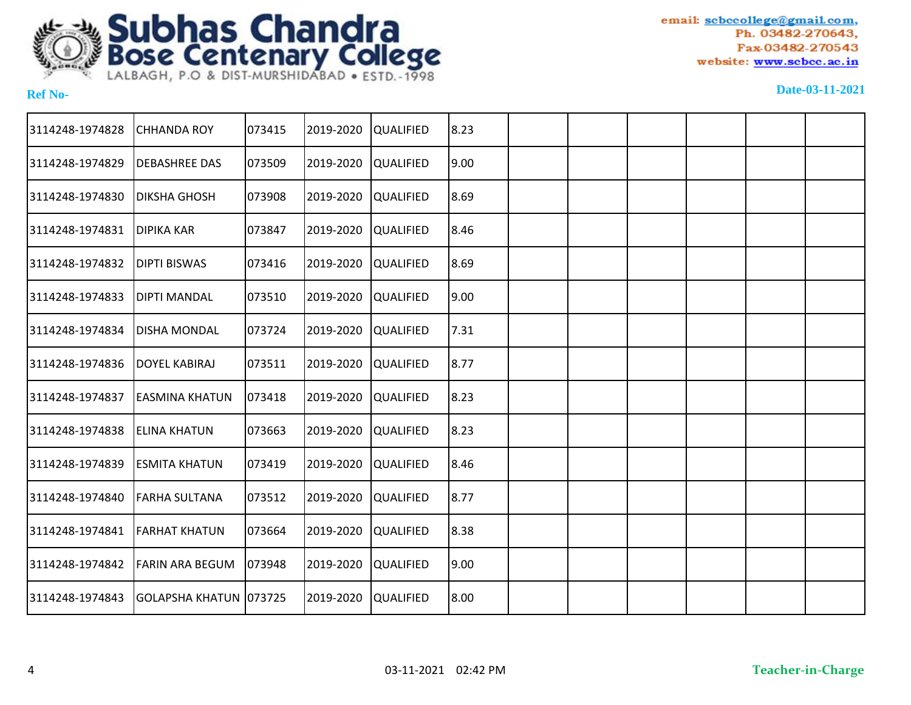

| 3114248-1974828 | <b>CHHANDA ROY</b>     | 073415 | 2019-2020 | QUALIFIED        | 8.23  |  |  |  |
|-----------------|------------------------|--------|-----------|------------------|-------|--|--|--|
| 3114248-1974829 | <b>DEBASHREE DAS</b>   | 073509 | 2019-2020 | <b>QUALIFIED</b> | 9.00  |  |  |  |
| 3114248-1974830 | <b>DIKSHA GHOSH</b>    | 073908 | 2019-2020 | <b>QUALIFIED</b> | 8.69  |  |  |  |
| 3114248-1974831 | <b>DIPIKA KAR</b>      | 073847 | 2019-2020 | QUALIFIED        | 8.46  |  |  |  |
| 3114248-1974832 | <b>DIPTI BISWAS</b>    | 073416 | 2019-2020 | <b>QUALIFIED</b> | 8.69  |  |  |  |
| 3114248-1974833 | <b>DIPTI MANDAL</b>    | 073510 | 2019-2020 | QUALIFIED        | 9.00  |  |  |  |
| 3114248-1974834 | <b>DISHA MONDAL</b>    | 073724 | 2019-2020 | <b>QUALIFIED</b> | 7.31  |  |  |  |
| 3114248-1974836 | DOYEL KABIRAJ          | 073511 | 2019-2020 | <b>QUALIFIED</b> | 8.77  |  |  |  |
| 3114248-1974837 | <b>EASMINA KHATUN</b>  | 073418 | 2019-2020 | <b>QUALIFIED</b> | 8.23  |  |  |  |
| 3114248-1974838 | <b>ELINA KHATUN</b>    | 073663 | 2019-2020 | <b>QUALIFIED</b> | 8.23  |  |  |  |
| 3114248-1974839 | <b>ESMITA KHATUN</b>   | 073419 | 2019-2020 | QUALIFIED        | 8.46  |  |  |  |
| 3114248-1974840 | <b>FARHA SULTANA</b>   | 073512 | 2019-2020 | QUALIFIED        | 8.77  |  |  |  |
| 3114248-1974841 | <b>FARHAT KHATUN</b>   | 073664 | 2019-2020 | QUALIFIED        | 8.38  |  |  |  |
| 3114248-1974842 | <b>FARIN ARA BEGUM</b> | 073948 | 2019-2020 | <b>QUALIFIED</b> | 19.00 |  |  |  |
| 3114248-1974843 | GOLAPSHA KHATUN 073725 |        | 2019-2020 | QUALIFIED        | 8.00  |  |  |  |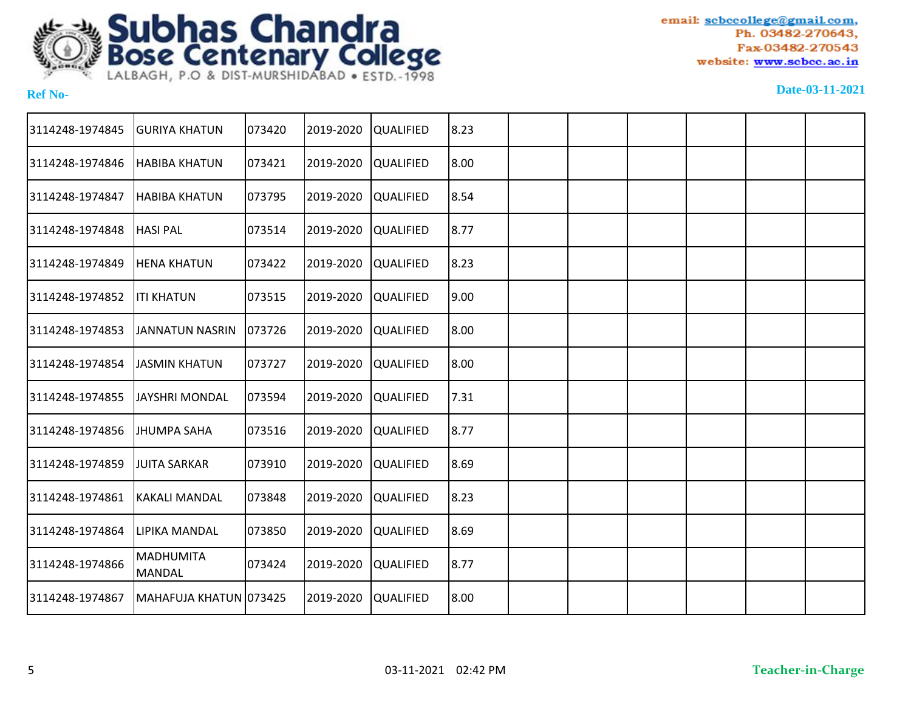

| 3114248-1974845 | <b>GURIYA KHATUN</b>              | 073420 | 2019-2020 | <b>QUALIFIED</b> | 8.23 |  |  |  |
|-----------------|-----------------------------------|--------|-----------|------------------|------|--|--|--|
| 3114248-1974846 | <b>HABIBA KHATUN</b>              | 073421 | 2019-2020 | <b>QUALIFIED</b> | 8.00 |  |  |  |
| 3114248-1974847 | <b>HABIBA KHATUN</b>              | 073795 | 2019-2020 | <b>QUALIFIED</b> | 8.54 |  |  |  |
| 3114248-1974848 | <b>HASI PAL</b>                   | 073514 | 2019-2020 | <b>QUALIFIED</b> | 8.77 |  |  |  |
| 3114248-1974849 | <b>HENA KHATUN</b>                | 073422 | 2019-2020 | <b>QUALIFIED</b> | 8.23 |  |  |  |
| 3114248-1974852 | <b>ITI KHATUN</b>                 | 073515 | 2019-2020 | <b>QUALIFIED</b> | 9.00 |  |  |  |
| 3114248-1974853 | <b>JANNATUN NASRIN</b>            | 073726 | 2019-2020 | <b>QUALIFIED</b> | 8.00 |  |  |  |
| 3114248-1974854 | <b>JASMIN KHATUN</b>              | 073727 | 2019-2020 | <b>QUALIFIED</b> | 8.00 |  |  |  |
| 3114248-1974855 | <b>JAYSHRI MONDAL</b>             | 073594 | 2019-2020 | <b>QUALIFIED</b> | 7.31 |  |  |  |
| 3114248-1974856 | <b>JHUMPA SAHA</b>                | 073516 | 2019-2020 | <b>QUALIFIED</b> | 8.77 |  |  |  |
| 3114248-1974859 | <b>JUITA SARKAR</b>               | 073910 | 2019-2020 | <b>QUALIFIED</b> | 8.69 |  |  |  |
| 3114248-1974861 | <b>KAKALI MANDAL</b>              | 073848 | 2019-2020 | <b>QUALIFIED</b> | 8.23 |  |  |  |
| 3114248-1974864 | LIPIKA MANDAL                     | 073850 | 2019-2020 | <b>QUALIFIED</b> | 8.69 |  |  |  |
| 3114248-1974866 | <b>MADHUMITA</b><br><b>MANDAL</b> | 073424 | 2019-2020 | <b>QUALIFIED</b> | 8.77 |  |  |  |
| 3114248-1974867 | MAHAFUJA KHATUN 073425            |        | 2019-2020 | <b>QUALIFIED</b> | 8.00 |  |  |  |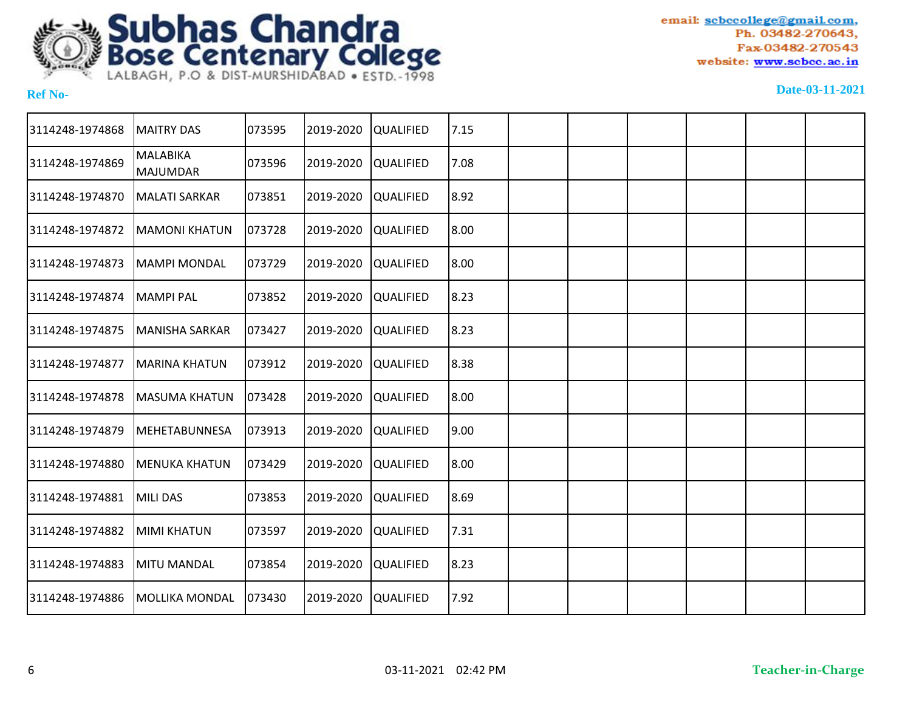

| 3114248-1974868 | <b>MAITRY DAS</b>                  | 073595 | 2019-2020 | <b>QUALIFIED</b> | 7.15 |  |  |  |
|-----------------|------------------------------------|--------|-----------|------------------|------|--|--|--|
| 3114248-1974869 | <b>MALABIKA</b><br><b>MAJUMDAR</b> | 073596 | 2019-2020 | <b>QUALIFIED</b> | 7.08 |  |  |  |
| 3114248-1974870 | <b>MALATI SARKAR</b>               | 073851 | 2019-2020 | <b>QUALIFIED</b> | 8.92 |  |  |  |
| 3114248-1974872 | <b>MAMONI KHATUN</b>               | 073728 | 2019-2020 | <b>QUALIFIED</b> | 8.00 |  |  |  |
| 3114248-1974873 | <b>MAMPI MONDAL</b>                | 073729 | 2019-2020 | <b>QUALIFIED</b> | 8.00 |  |  |  |
| 3114248-1974874 | <b>MAMPI PAL</b>                   | 073852 | 2019-2020 | <b>QUALIFIED</b> | 8.23 |  |  |  |
| 3114248-1974875 | <b>MANISHA SARKAR</b>              | 073427 | 2019-2020 | <b>QUALIFIED</b> | 8.23 |  |  |  |
| 3114248-1974877 | <b>MARINA KHATUN</b>               | 073912 | 2019-2020 | <b>QUALIFIED</b> | 8.38 |  |  |  |
| 3114248-1974878 | <b>MASUMA KHATUN</b>               | 073428 | 2019-2020 | <b>QUALIFIED</b> | 8.00 |  |  |  |
| 3114248-1974879 | <b>MEHETABUNNESA</b>               | 073913 | 2019-2020 | <b>QUALIFIED</b> | 9.00 |  |  |  |
| 3114248-1974880 | <b>MENUKA KHATUN</b>               | 073429 | 2019-2020 | <b>QUALIFIED</b> | 8.00 |  |  |  |
| 3114248-1974881 | <b>MILI DAS</b>                    | 073853 | 2019-2020 | <b>QUALIFIED</b> | 8.69 |  |  |  |
| 3114248-1974882 | <b>MIMI KHATUN</b>                 | 073597 | 2019-2020 | <b>QUALIFIED</b> | 7.31 |  |  |  |
| 3114248-1974883 | <b>MITU MANDAL</b>                 | 073854 | 2019-2020 | <b>QUALIFIED</b> | 8.23 |  |  |  |
| 3114248-1974886 | <b>MOLLIKA MONDAL</b>              | 073430 | 2019-2020 | <b>QUALIFIED</b> | 7.92 |  |  |  |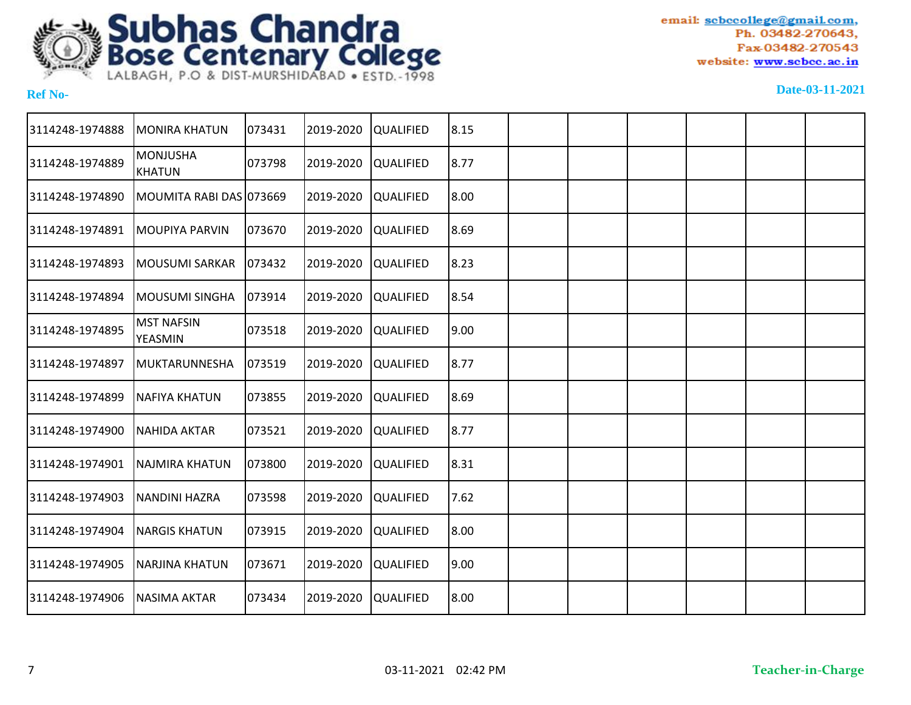

| 3114248-1974888 | <b>MONIRA KHATUN</b>             | 073431 | 2019-2020 | <b>QUALIFIED</b> | 8.15 |  |  |  |
|-----------------|----------------------------------|--------|-----------|------------------|------|--|--|--|
| 3114248-1974889 | <b>MONJUSHA</b><br><b>KHATUN</b> | 073798 | 2019-2020 | <b>QUALIFIED</b> | 8.77 |  |  |  |
| 3114248-1974890 | MOUMITA RABI DAS 073669          |        | 2019-2020 | <b>QUALIFIED</b> | 8.00 |  |  |  |
| 3114248-1974891 | <b>MOUPIYA PARVIN</b>            | 073670 | 2019-2020 | <b>QUALIFIED</b> | 8.69 |  |  |  |
| 3114248-1974893 | <b>MOUSUMI SARKAR</b>            | 073432 | 2019-2020 | <b>QUALIFIED</b> | 8.23 |  |  |  |
| 3114248-1974894 | MOUSUMI SINGHA                   | 073914 | 2019-2020 | <b>QUALIFIED</b> | 8.54 |  |  |  |
| 3114248-1974895 | <b>MST NAFSIN</b><br>YEASMIN     | 073518 | 2019-2020 | <b>QUALIFIED</b> | 9.00 |  |  |  |
| 3114248-1974897 | <b>MUKTARUNNESHA</b>             | 073519 | 2019-2020 | <b>QUALIFIED</b> | 8.77 |  |  |  |
| 3114248-1974899 | <b>NAFIYA KHATUN</b>             | 073855 | 2019-2020 | <b>QUALIFIED</b> | 8.69 |  |  |  |
| 3114248-1974900 | <b>NAHIDA AKTAR</b>              | 073521 | 2019-2020 | <b>QUALIFIED</b> | 8.77 |  |  |  |
| 3114248-1974901 | NAJMIRA KHATUN                   | 073800 | 2019-2020 | <b>QUALIFIED</b> | 8.31 |  |  |  |
| 3114248-1974903 | <b>NANDINI HAZRA</b>             | 073598 | 2019-2020 | <b>QUALIFIED</b> | 7.62 |  |  |  |
| 3114248-1974904 | <b>NARGIS KHATUN</b>             | 073915 | 2019-2020 | <b>QUALIFIED</b> | 8.00 |  |  |  |
| 3114248-1974905 | <b>NARJINA KHATUN</b>            | 073671 | 2019-2020 | <b>QUALIFIED</b> | 9.00 |  |  |  |
| 3114248-1974906 | <b>NASIMA AKTAR</b>              | 073434 | 2019-2020 | <b>QUALIFIED</b> | 8.00 |  |  |  |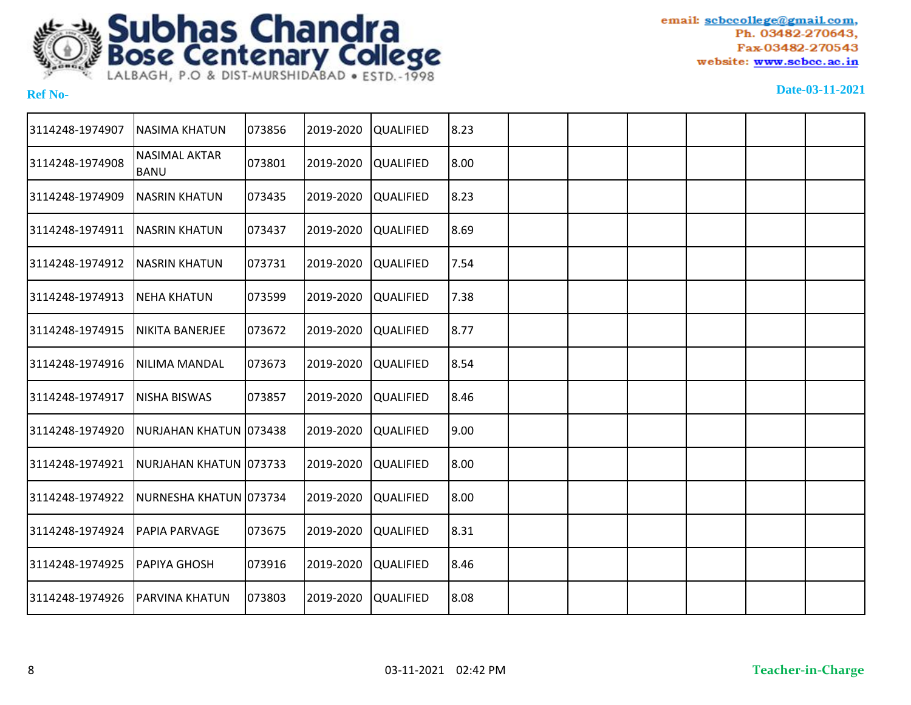

| 3114248-1974907 | <b>NASIMA KHATUN</b>                | 073856 | 2019-2020 | <b>QUALIFIED</b> | 8.23 |  |  |  |
|-----------------|-------------------------------------|--------|-----------|------------------|------|--|--|--|
| 3114248-1974908 | <b>NASIMAL AKTAR</b><br><b>BANU</b> | 073801 | 2019-2020 | <b>QUALIFIED</b> | 8.00 |  |  |  |
| 3114248-1974909 | <b>NASRIN KHATUN</b>                | 073435 | 2019-2020 | <b>QUALIFIED</b> | 8.23 |  |  |  |
| 3114248-1974911 | <b>NASRIN KHATUN</b>                | 073437 | 2019-2020 | <b>QUALIFIED</b> | 8.69 |  |  |  |
| 3114248-1974912 | <b>NASRIN KHATUN</b>                | 073731 | 2019-2020 | <b>QUALIFIED</b> | 7.54 |  |  |  |
| 3114248-1974913 | <b>NEHA KHATUN</b>                  | 073599 | 2019-2020 | <b>QUALIFIED</b> | 7.38 |  |  |  |
| 3114248-1974915 | NIKITA BANERJEE                     | 073672 | 2019-2020 | <b>QUALIFIED</b> | 8.77 |  |  |  |
| 3114248-1974916 | NILIMA MANDAL                       | 073673 | 2019-2020 | <b>QUALIFIED</b> | 8.54 |  |  |  |
| 3114248-1974917 | <b>NISHA BISWAS</b>                 | 073857 | 2019-2020 | <b>QUALIFIED</b> | 8.46 |  |  |  |
| 3114248-1974920 | NURJAHAN KHATUN 073438              |        | 2019-2020 | <b>QUALIFIED</b> | 9.00 |  |  |  |
| 3114248-1974921 | NURJAHAN KHATUN 073733              |        | 2019-2020 | <b>QUALIFIED</b> | 8.00 |  |  |  |
| 3114248-1974922 | NURNESHA KHATUN 073734              |        | 2019-2020 | <b>QUALIFIED</b> | 8.00 |  |  |  |
| 3114248-1974924 | PAPIA PARVAGE                       | 073675 | 2019-2020 | <b>QUALIFIED</b> | 8.31 |  |  |  |
| 3114248-1974925 | <b>PAPIYA GHOSH</b>                 | 073916 | 2019-2020 | <b>QUALIFIED</b> | 8.46 |  |  |  |
| 3114248-1974926 | <b>PARVINA KHATUN</b>               | 073803 | 2019-2020 | <b>QUALIFIED</b> | 8.08 |  |  |  |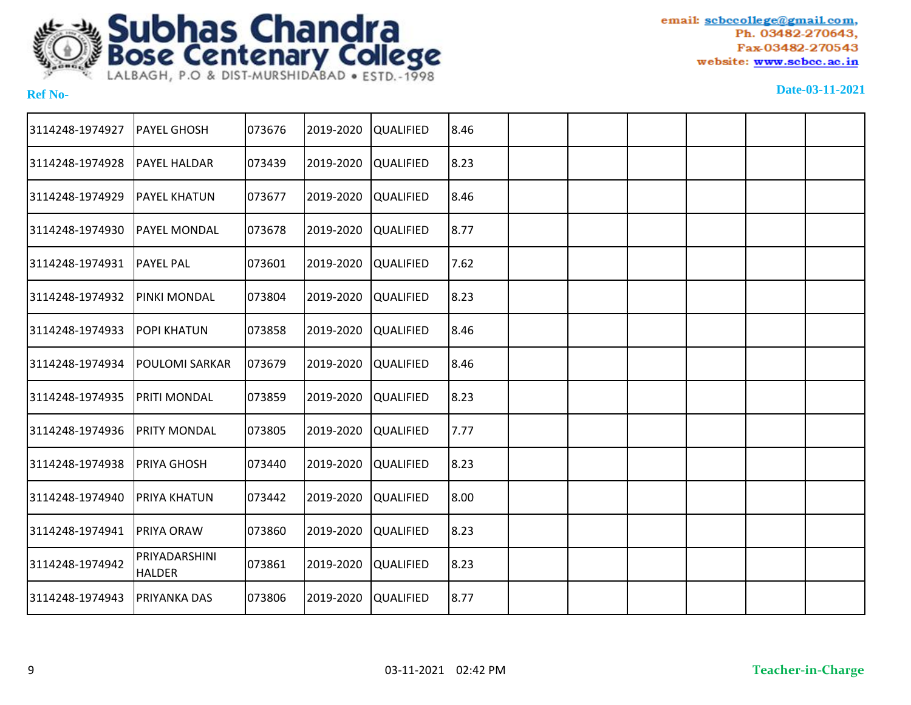

| 3114248-1974927 | <b>PAYEL GHOSH</b>             | 073676 | 2019-2020 | <b>QUALIFIED</b> | 8.46 |  |  |  |
|-----------------|--------------------------------|--------|-----------|------------------|------|--|--|--|
| 3114248-1974928 | PAYEL HALDAR                   | 073439 | 2019-2020 | <b>QUALIFIED</b> | 8.23 |  |  |  |
| 3114248-1974929 | <b>PAYEL KHATUN</b>            | 073677 | 2019-2020 | <b>QUALIFIED</b> | 8.46 |  |  |  |
| 3114248-1974930 | PAYEL MONDAL                   | 073678 | 2019-2020 | <b>QUALIFIED</b> | 8.77 |  |  |  |
| 3114248-1974931 | <b>PAYEL PAL</b>               | 073601 | 2019-2020 | <b>QUALIFIED</b> | 7.62 |  |  |  |
| 3114248-1974932 | PINKI MONDAL                   | 073804 | 2019-2020 | <b>QUALIFIED</b> | 8.23 |  |  |  |
| 3114248-1974933 | <b>POPI KHATUN</b>             | 073858 | 2019-2020 | <b>QUALIFIED</b> | 8.46 |  |  |  |
| 3114248-1974934 | <b>POULOMI SARKAR</b>          | 073679 | 2019-2020 | <b>QUALIFIED</b> | 8.46 |  |  |  |
| 3114248-1974935 | PRITI MONDAL                   | 073859 | 2019-2020 | <b>QUALIFIED</b> | 8.23 |  |  |  |
| 3114248-1974936 | <b>PRITY MONDAL</b>            | 073805 | 2019-2020 | <b>QUALIFIED</b> | 7.77 |  |  |  |
| 3114248-1974938 | <b>PRIYA GHOSH</b>             | 073440 | 2019-2020 | <b>QUALIFIED</b> | 8.23 |  |  |  |
| 3114248-1974940 | PRIYA KHATUN                   | 073442 | 2019-2020 | <b>QUALIFIED</b> | 8.00 |  |  |  |
| 3114248-1974941 | PRIYA ORAW                     | 073860 | 2019-2020 | <b>QUALIFIED</b> | 8.23 |  |  |  |
| 3114248-1974942 | PRIYADARSHINI<br><b>HALDER</b> | 073861 | 2019-2020 | <b>QUALIFIED</b> | 8.23 |  |  |  |
| 3114248-1974943 | <b>PRIYANKA DAS</b>            | 073806 | 2019-2020 | <b>QUALIFIED</b> | 8.77 |  |  |  |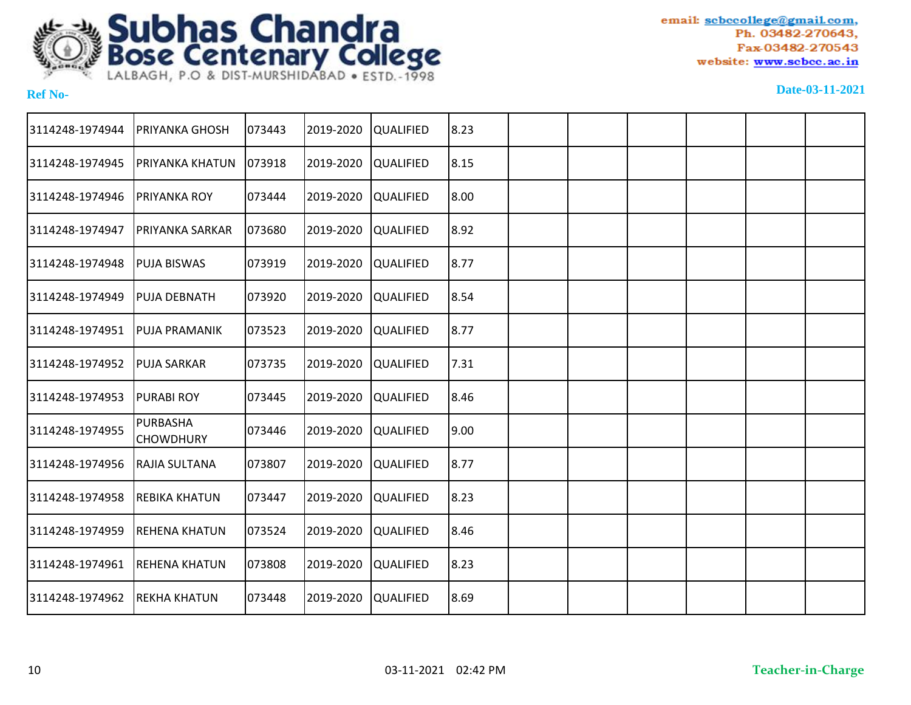

| 3114248-1974944 | PRIYANKA GHOSH               | 073443 | 2019-2020 | <b>QUALIFIED</b> | 8.23 |  |  |  |
|-----------------|------------------------------|--------|-----------|------------------|------|--|--|--|
| 3114248-1974945 | PRIYANKA KHATUN              | 073918 | 2019-2020 | <b>QUALIFIED</b> | 8.15 |  |  |  |
| 3114248-1974946 | PRIYANKA ROY                 | 073444 | 2019-2020 | <b>QUALIFIED</b> | 8.00 |  |  |  |
| 3114248-1974947 | PRIYANKA SARKAR              | 073680 | 2019-2020 | <b>QUALIFIED</b> | 8.92 |  |  |  |
| 3114248-1974948 | <b>PUJA BISWAS</b>           | 073919 | 2019-2020 | <b>QUALIFIED</b> | 8.77 |  |  |  |
| 3114248-1974949 | <b>PUJA DEBNATH</b>          | 073920 | 2019-2020 | <b>QUALIFIED</b> | 8.54 |  |  |  |
| 3114248-1974951 | <b>PUJA PRAMANIK</b>         | 073523 | 2019-2020 | <b>QUALIFIED</b> | 8.77 |  |  |  |
| 3114248-1974952 | <b>PUJA SARKAR</b>           | 073735 | 2019-2020 | <b>QUALIFIED</b> | 7.31 |  |  |  |
| 3114248-1974953 | <b>PURABI ROY</b>            | 073445 | 2019-2020 | <b>QUALIFIED</b> | 8.46 |  |  |  |
| 3114248-1974955 | PURBASHA<br><b>CHOWDHURY</b> | 073446 | 2019-2020 | <b>QUALIFIED</b> | 9.00 |  |  |  |
| 3114248-1974956 | RAJIA SULTANA                | 073807 | 2019-2020 | <b>QUALIFIED</b> | 8.77 |  |  |  |
| 3114248-1974958 | <b>REBIKA KHATUN</b>         | 073447 | 2019-2020 | <b>QUALIFIED</b> | 8.23 |  |  |  |
| 3114248-1974959 | <b>REHENA KHATUN</b>         | 073524 | 2019-2020 | <b>QUALIFIED</b> | 8.46 |  |  |  |
| 3114248-1974961 | <b>REHENA KHATUN</b>         | 073808 | 2019-2020 | <b>QUALIFIED</b> | 8.23 |  |  |  |
| 3114248-1974962 | <b>REKHA KHATUN</b>          | 073448 | 2019-2020 | <b>QUALIFIED</b> | 8.69 |  |  |  |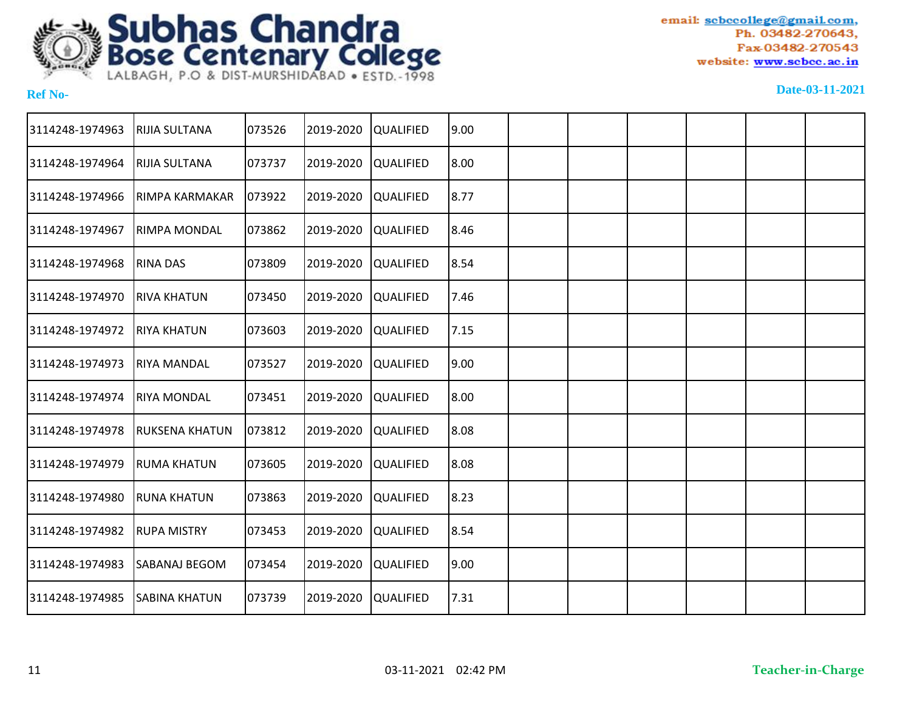

| 3114248-1974963 | RIJIA SULTANA         | 073526 | 2019-2020 | <b>QUALIFIED</b> | 19.00 |  |  |  |
|-----------------|-----------------------|--------|-----------|------------------|-------|--|--|--|
| 3114248-1974964 | RIJIA SULTANA         | 073737 | 2019-2020 | <b>QUALIFIED</b> | 8.00  |  |  |  |
| 3114248-1974966 | RIMPA KARMAKAR        | 073922 | 2019-2020 | <b>QUALIFIED</b> | 8.77  |  |  |  |
| 3114248-1974967 | RIMPA MONDAL          | 073862 | 2019-2020 | <b>QUALIFIED</b> | 8.46  |  |  |  |
| 3114248-1974968 | <b>RINA DAS</b>       | 073809 | 2019-2020 | <b>QUALIFIED</b> | 8.54  |  |  |  |
| 3114248-1974970 | <b>RIVA KHATUN</b>    | 073450 | 2019-2020 | <b>QUALIFIED</b> | 7.46  |  |  |  |
| 3114248-1974972 | <b>RIYA KHATUN</b>    | 073603 | 2019-2020 | <b>QUALIFIED</b> | 7.15  |  |  |  |
| 3114248-1974973 | <b>RIYA MANDAL</b>    | 073527 | 2019-2020 | <b>QUALIFIED</b> | 19.00 |  |  |  |
| 3114248-1974974 | <b>RIYA MONDAL</b>    | 073451 | 2019-2020 | <b>QUALIFIED</b> | 8.00  |  |  |  |
| 3114248-1974978 | <b>RUKSENA KHATUN</b> | 073812 | 2019-2020 | <b>QUALIFIED</b> | 18.08 |  |  |  |
| 3114248-1974979 | <b>RUMA KHATUN</b>    | 073605 | 2019-2020 | <b>QUALIFIED</b> | 8.08  |  |  |  |
| 3114248-1974980 | <b>RUNA KHATUN</b>    | 073863 | 2019-2020 | <b>QUALIFIED</b> | 8.23  |  |  |  |
| 3114248-1974982 | <b>RUPA MISTRY</b>    | 073453 | 2019-2020 | <b>QUALIFIED</b> | 8.54  |  |  |  |
| 3114248-1974983 | SABANAJ BEGOM         | 073454 | 2019-2020 | <b>QUALIFIED</b> | 9.00  |  |  |  |
| 3114248-1974985 | <b>SABINA KHATUN</b>  | 073739 | 2019-2020 | <b>QUALIFIED</b> | 7.31  |  |  |  |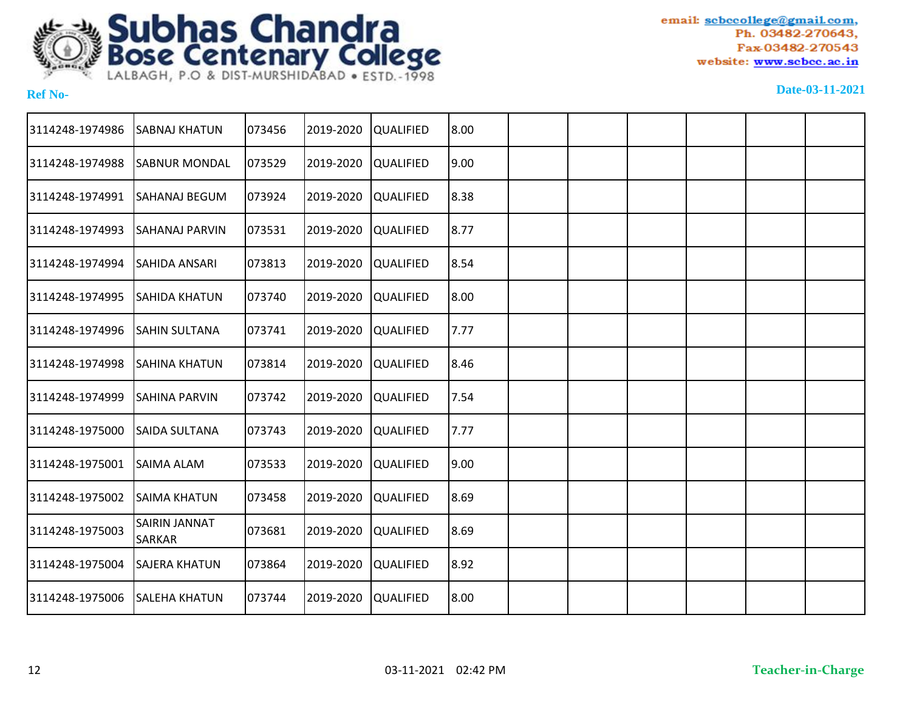

| 3114248-1974986 | <b>SABNAJ KHATUN</b>           | 073456 | 2019-2020 | QUALIFIED        | 8.00 |  |  |  |
|-----------------|--------------------------------|--------|-----------|------------------|------|--|--|--|
| 3114248-1974988 | <b>SABNUR MONDAL</b>           | 073529 | 2019-2020 | QUALIFIED        | 9.00 |  |  |  |
| 3114248-1974991 | <b>SAHANAJ BEGUM</b>           | 073924 | 2019-2020 | <b>QUALIFIED</b> | 8.38 |  |  |  |
| 3114248-1974993 | <b>SAHANAJ PARVIN</b>          | 073531 | 2019-2020 | <b>QUALIFIED</b> | 8.77 |  |  |  |
| 3114248-1974994 | <b>SAHIDA ANSARI</b>           | 073813 | 2019-2020 | QUALIFIED        | 8.54 |  |  |  |
| 3114248-1974995 | ISAHIDA KHATUN                 | 073740 | 2019-2020 | <b>QUALIFIED</b> | 8.00 |  |  |  |
| 3114248-1974996 | <b>SAHIN SULTANA</b>           | 073741 | 2019-2020 | <b>QUALIFIED</b> | 7.77 |  |  |  |
| 3114248-1974998 | <b>I</b> SAHINA KHATUN         | 073814 | 2019-2020 | <b>QUALIFIED</b> | 8.46 |  |  |  |
| 3114248-1974999 | <b>SAHINA PARVIN</b>           | 073742 | 2019-2020 | <b>QUALIFIED</b> | 7.54 |  |  |  |
| 3114248-1975000 | <b>SAIDA SULTANA</b>           | 073743 | 2019-2020 | QUALIFIED        | 7.77 |  |  |  |
| 3114248-1975001 | <b>SAIMA ALAM</b>              | 073533 | 2019-2020 | <b>QUALIFIED</b> | 9.00 |  |  |  |
| 3114248-1975002 | <b>SAIMA KHATUN</b>            | 073458 | 2019-2020 | QUALIFIED        | 8.69 |  |  |  |
| 3114248-1975003 | SAIRIN JANNAT<br><b>SARKAR</b> | 073681 | 2019-2020 | QUALIFIED        | 8.69 |  |  |  |
| 3114248-1975004 | <b>SAJERA KHATUN</b>           | 073864 | 2019-2020 | QUALIFIED        | 8.92 |  |  |  |
| 3114248-1975006 | <b>SALEHA KHATUN</b>           | 073744 | 2019-2020 | QUALIFIED        | 8.00 |  |  |  |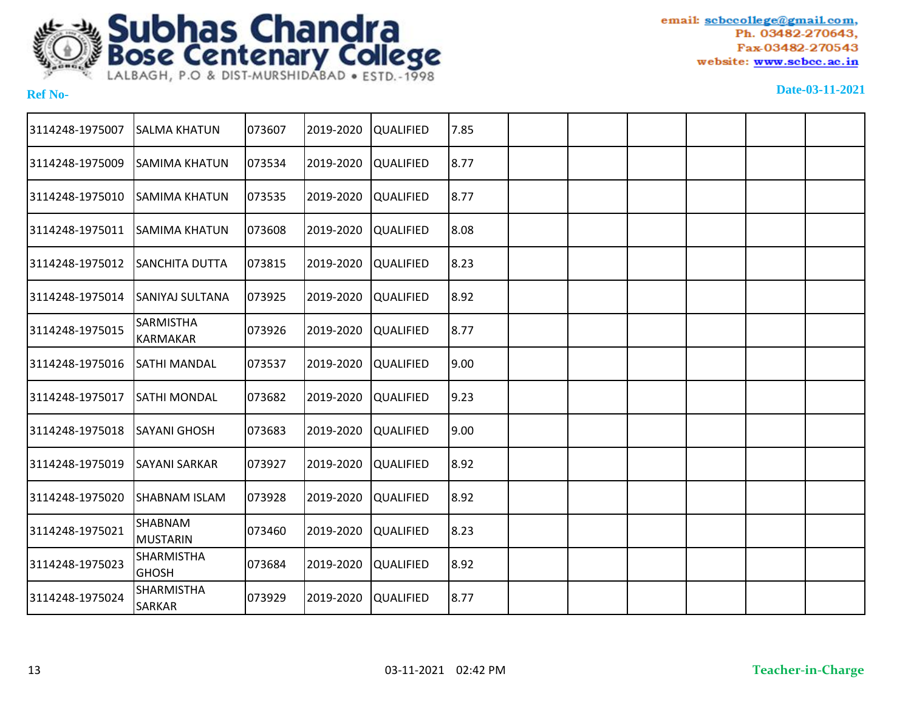

| 3114248-1975007 | <b>SALMA KHATUN</b>                 | 073607 | 2019-2020 | <b>QUALIFIED</b> | 7.85  |  |  |  |
|-----------------|-------------------------------------|--------|-----------|------------------|-------|--|--|--|
| 3114248-1975009 | <b>SAMIMA KHATUN</b>                | 073534 | 2019-2020 | <b>QUALIFIED</b> | 8.77  |  |  |  |
| 3114248-1975010 | <b>SAMIMA KHATUN</b>                | 073535 | 2019-2020 | <b>QUALIFIED</b> | 8.77  |  |  |  |
| 3114248-1975011 | <b>SAMIMA KHATUN</b>                | 073608 | 2019-2020 | <b>QUALIFIED</b> | 8.08  |  |  |  |
| 3114248-1975012 | SANCHITA DUTTA                      | 073815 | 2019-2020 | <b>QUALIFIED</b> | 8.23  |  |  |  |
| 3114248-1975014 | <b>SANIYAJ SULTANA</b>              | 073925 | 2019-2020 | <b>QUALIFIED</b> | 8.92  |  |  |  |
| 3114248-1975015 | <b>SARMISTHA</b><br><b>KARMAKAR</b> | 073926 | 2019-2020 | <b>QUALIFIED</b> | 8.77  |  |  |  |
| 3114248-1975016 | SATHI MANDAL                        | 073537 | 2019-2020 | <b>QUALIFIED</b> | 19.00 |  |  |  |
| 3114248-1975017 | SATHI MONDAL                        | 073682 | 2019-2020 | <b>QUALIFIED</b> | 9.23  |  |  |  |
| 3114248-1975018 | <b>SAYANI GHOSH</b>                 | 073683 | 2019-2020 | <b>QUALIFIED</b> | 9.00  |  |  |  |
| 3114248-1975019 | <b>SAYANI SARKAR</b>                | 073927 | 2019-2020 | <b>QUALIFIED</b> | 8.92  |  |  |  |
| 3114248-1975020 | SHABNAM ISLAM                       | 073928 | 2019-2020 | <b>QUALIFIED</b> | 8.92  |  |  |  |
| 3114248-1975021 | SHABNAM<br><b>MUSTARIN</b>          | 073460 | 2019-2020 | <b>QUALIFIED</b> | 8.23  |  |  |  |
| 3114248-1975023 | SHARMISTHA<br><b>GHOSH</b>          | 073684 | 2019-2020 | <b>QUALIFIED</b> | 8.92  |  |  |  |
| 3114248-1975024 | <b>SHARMISTHA</b><br>SARKAR         | 073929 | 2019-2020 | <b>QUALIFIED</b> | 8.77  |  |  |  |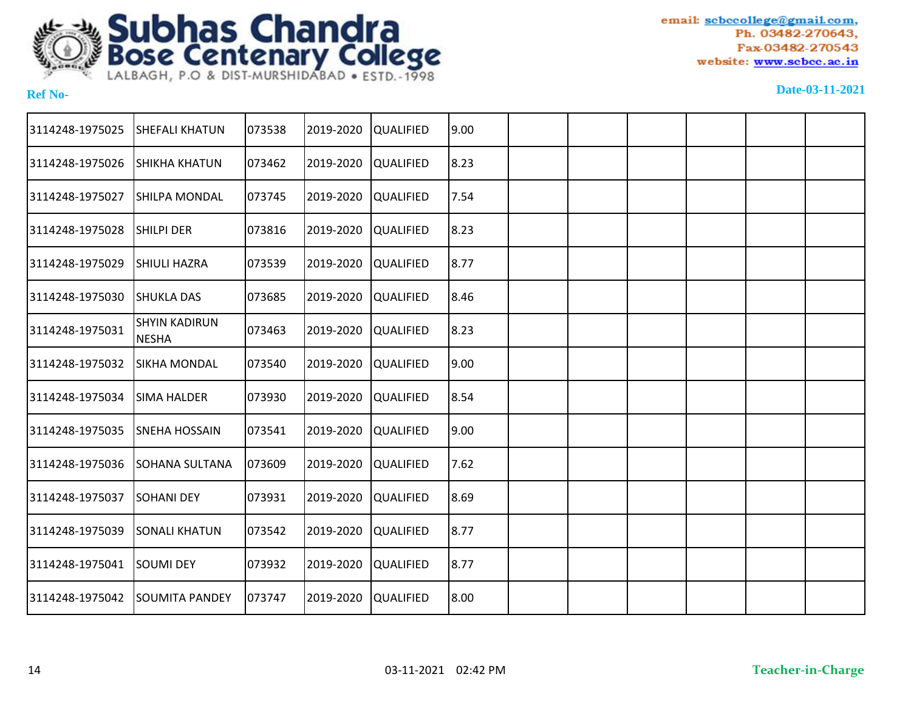

| <b>SHEFALI KHATUN</b>                |        | 2019-2020                                                                                                  |                                                                                                                                                                                                                                                                                                          |                                                                                                 |  |  |  |
|--------------------------------------|--------|------------------------------------------------------------------------------------------------------------|----------------------------------------------------------------------------------------------------------------------------------------------------------------------------------------------------------------------------------------------------------------------------------------------------------|-------------------------------------------------------------------------------------------------|--|--|--|
| SHIKHA KHATUN                        |        | 2019-2020                                                                                                  |                                                                                                                                                                                                                                                                                                          |                                                                                                 |  |  |  |
| SHILPA MONDAL                        |        | 2019-2020                                                                                                  | 7.54                                                                                                                                                                                                                                                                                                     |                                                                                                 |  |  |  |
| <b>SHILPI DER</b>                    | 073816 | 2019-2020                                                                                                  |                                                                                                                                                                                                                                                                                                          |                                                                                                 |  |  |  |
| SHIULI HAZRA                         | 073539 | 2019-2020                                                                                                  |                                                                                                                                                                                                                                                                                                          |                                                                                                 |  |  |  |
| <b>SHUKLA DAS</b>                    |        | 2019-2020                                                                                                  |                                                                                                                                                                                                                                                                                                          |                                                                                                 |  |  |  |
| <b>SHYIN KADIRUN</b><br><b>NESHA</b> |        | 2019-2020                                                                                                  |                                                                                                                                                                                                                                                                                                          |                                                                                                 |  |  |  |
| <b>SIKHA MONDAL</b>                  |        | 2019-2020                                                                                                  |                                                                                                                                                                                                                                                                                                          |                                                                                                 |  |  |  |
| <b>SIMA HALDER</b>                   |        | 2019-2020                                                                                                  |                                                                                                                                                                                                                                                                                                          |                                                                                                 |  |  |  |
| SNEHA HOSSAIN                        |        | 2019-2020                                                                                                  |                                                                                                                                                                                                                                                                                                          |                                                                                                 |  |  |  |
| SOHANA SULTANA                       | 073609 | 2019-2020                                                                                                  | 7.62                                                                                                                                                                                                                                                                                                     |                                                                                                 |  |  |  |
| <b>SOHANI DEY</b>                    | 073931 | 2019-2020                                                                                                  | 8.69                                                                                                                                                                                                                                                                                                     |                                                                                                 |  |  |  |
| <b>SONALI KHATUN</b>                 |        | 2019-2020                                                                                                  |                                                                                                                                                                                                                                                                                                          |                                                                                                 |  |  |  |
| <b>SOUMI DEY</b>                     |        | 2019-2020                                                                                                  |                                                                                                                                                                                                                                                                                                          |                                                                                                 |  |  |  |
| <b>SOUMITA PANDEY</b>                |        | 2019-2020                                                                                                  |                                                                                                                                                                                                                                                                                                          |                                                                                                 |  |  |  |
|                                      |        | 073538<br>073462<br>073745<br>073685<br>073463<br>073540<br>073930<br>073541<br>073542<br>073932<br>073747 | <b>QUALIFIED</b><br><b>QUALIFIED</b><br><b>QUALIFIED</b><br><b>QUALIFIED</b><br><b>QUALIFIED</b><br><b>QUALIFIED</b><br><b>QUALIFIED</b><br><b>QUALIFIED</b><br><b>QUALIFIED</b><br><b>QUALIFIED</b><br><b>QUALIFIED</b><br><b>QUALIFIED</b><br><b>QUALIFIED</b><br><b>QUALIFIED</b><br><b>QUALIFIED</b> | 9.00<br> 8.23<br>8.23<br>8.77<br>8.46<br> 8.23<br>19.00<br>8.54<br>9.00<br>8.77<br>8.77<br>8.00 |  |  |  |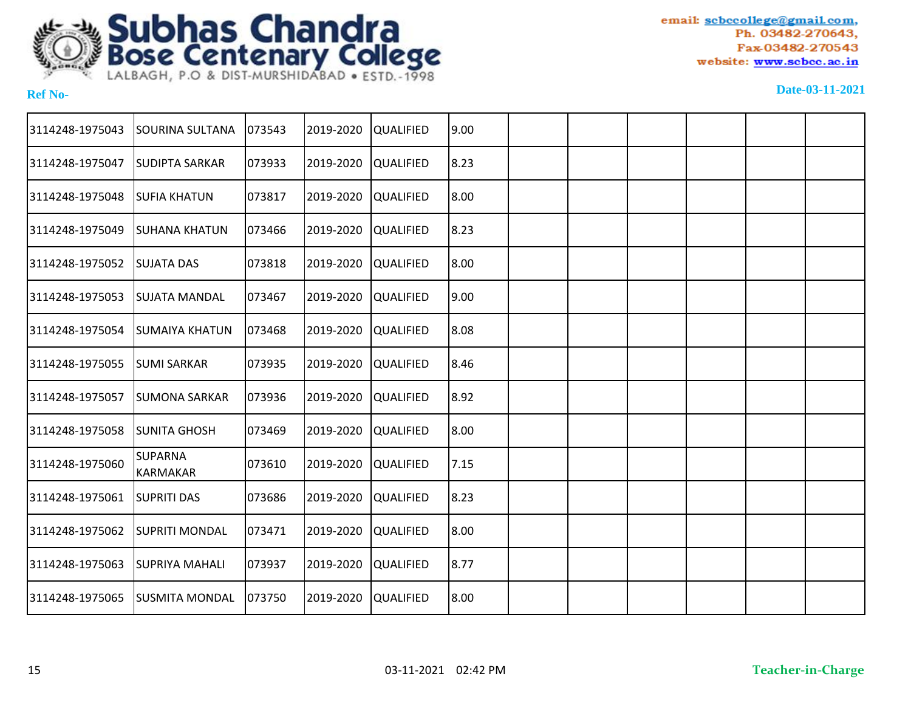

| 3114248-1975043 | <b>SOURINA SULTANA</b>            | 073543 | 2019-2020 | QUALIFIED        | 9.00 |  |  |  |
|-----------------|-----------------------------------|--------|-----------|------------------|------|--|--|--|
| 3114248-1975047 | <b>SUDIPTA SARKAR</b>             | 073933 | 2019-2020 | <b>QUALIFIED</b> | 8.23 |  |  |  |
| 3114248-1975048 | <b>SUFIA KHATUN</b>               | 073817 | 2019-2020 | <b>QUALIFIED</b> | 8.00 |  |  |  |
| 3114248-1975049 | <b>SUHANA KHATUN</b>              | 073466 | 2019-2020 | QUALIFIED        | 8.23 |  |  |  |
| 3114248-1975052 | <b>SUJATA DAS</b>                 | 073818 | 2019-2020 | QUALIFIED        | 8.00 |  |  |  |
| 3114248-1975053 | <b>SUJATA MANDAL</b>              | 073467 | 2019-2020 | QUALIFIED        | 9.00 |  |  |  |
| 3114248-1975054 | <b>SUMAIYA KHATUN</b>             | 073468 | 2019-2020 | <b>QUALIFIED</b> | 8.08 |  |  |  |
| 3114248-1975055 | <b>SUMI SARKAR</b>                | 073935 | 2019-2020 | QUALIFIED        | 8.46 |  |  |  |
| 3114248-1975057 | <b>SUMONA SARKAR</b>              | 073936 | 2019-2020 | <b>QUALIFIED</b> | 8.92 |  |  |  |
| 3114248-1975058 | <b>SUNITA GHOSH</b>               | 073469 | 2019-2020 | <b>QUALIFIED</b> | 8.00 |  |  |  |
| 3114248-1975060 | <b>SUPARNA</b><br><b>KARMAKAR</b> | 073610 | 2019-2020 | QUALIFIED        | 7.15 |  |  |  |
| 3114248-1975061 | <b>SUPRITI DAS</b>                | 073686 | 2019-2020 | QUALIFIED        | 8.23 |  |  |  |
| 3114248-1975062 | <b>SUPRITI MONDAL</b>             | 073471 | 2019-2020 | QUALIFIED        | 8.00 |  |  |  |
| 3114248-1975063 | <b>SUPRIYA MAHALI</b>             | 073937 | 2019-2020 | <b>QUALIFIED</b> | 8.77 |  |  |  |
| 3114248-1975065 | <b>SUSMITA MONDAL</b>             | 073750 | 2019-2020 | QUALIFIED        | 8.00 |  |  |  |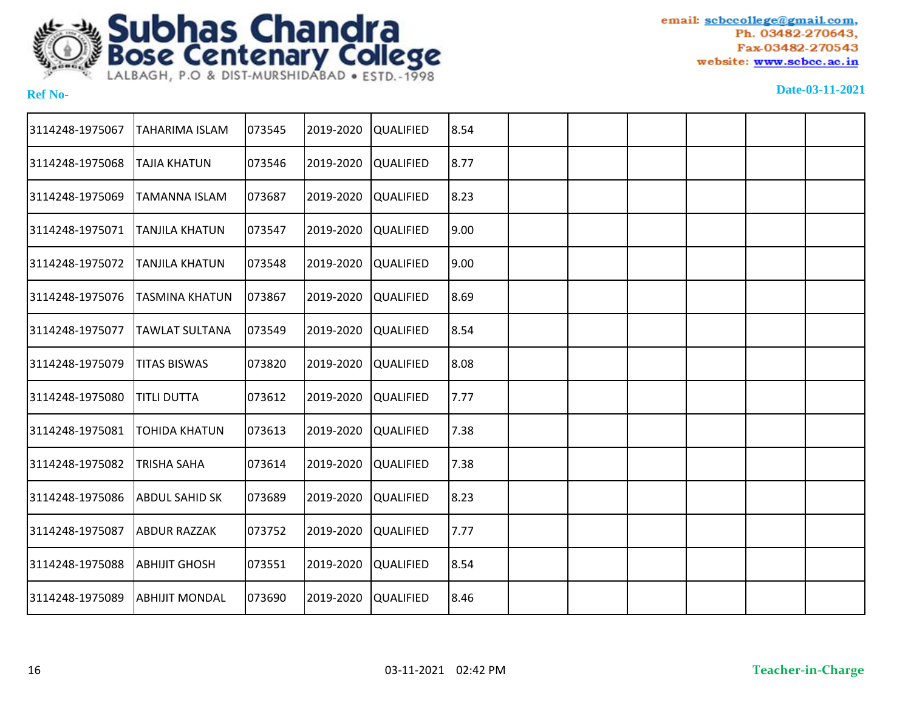

| 3114248-1975067 | <b>TAHARIMA ISLAM</b> | 073545 | 2019-2020 | <b>QUALIFIED</b> | 8.54  |  |  |  |
|-----------------|-----------------------|--------|-----------|------------------|-------|--|--|--|
| 3114248-1975068 | <b>TAJIA KHATUN</b>   | 073546 | 2019-2020 | <b>QUALIFIED</b> | 8.77  |  |  |  |
| 3114248-1975069 | <b>TAMANNA ISLAM</b>  | 073687 | 2019-2020 | <b>QUALIFIED</b> | 8.23  |  |  |  |
| 3114248-1975071 | <b>TANJILA KHATUN</b> | 073547 | 2019-2020 | <b>QUALIFIED</b> | 9.00  |  |  |  |
| 3114248-1975072 | <b>TANJILA KHATUN</b> | 073548 | 2019-2020 | <b>QUALIFIED</b> | 19.00 |  |  |  |
| 3114248-1975076 | <b>TASMINA KHATUN</b> | 073867 | 2019-2020 | <b>QUALIFIED</b> | 8.69  |  |  |  |
| 3114248-1975077 | <b>TAWLAT SULTANA</b> | 073549 | 2019-2020 | <b>QUALIFIED</b> | 8.54  |  |  |  |
| 3114248-1975079 | <b>TITAS BISWAS</b>   | 073820 | 2019-2020 | <b>QUALIFIED</b> | 8.08  |  |  |  |
| 3114248-1975080 | <b>TITLI DUTTA</b>    | 073612 | 2019-2020 | <b>QUALIFIED</b> | 7.77  |  |  |  |
| 3114248-1975081 | <b>TOHIDA KHATUN</b>  | 073613 | 2019-2020 | <b>QUALIFIED</b> | 7.38  |  |  |  |
| 3114248-1975082 | <b>TRISHA SAHA</b>    | 073614 | 2019-2020 | <b>QUALIFIED</b> | 7.38  |  |  |  |
| 3114248-1975086 | <b>ABDUL SAHID SK</b> | 073689 | 2019-2020 | <b>QUALIFIED</b> | 8.23  |  |  |  |
| 3114248-1975087 | <b>ABDUR RAZZAK</b>   | 073752 | 2019-2020 | <b>QUALIFIED</b> | 7.77  |  |  |  |
| 3114248-1975088 | АВНIJIT GHOSH         | 073551 | 2019-2020 | <b>QUALIFIED</b> | 8.54  |  |  |  |
| 3114248-1975089 | <b>ABHIJIT MONDAL</b> | 073690 | 2019-2020 | <b>QUALIFIED</b> | 8.46  |  |  |  |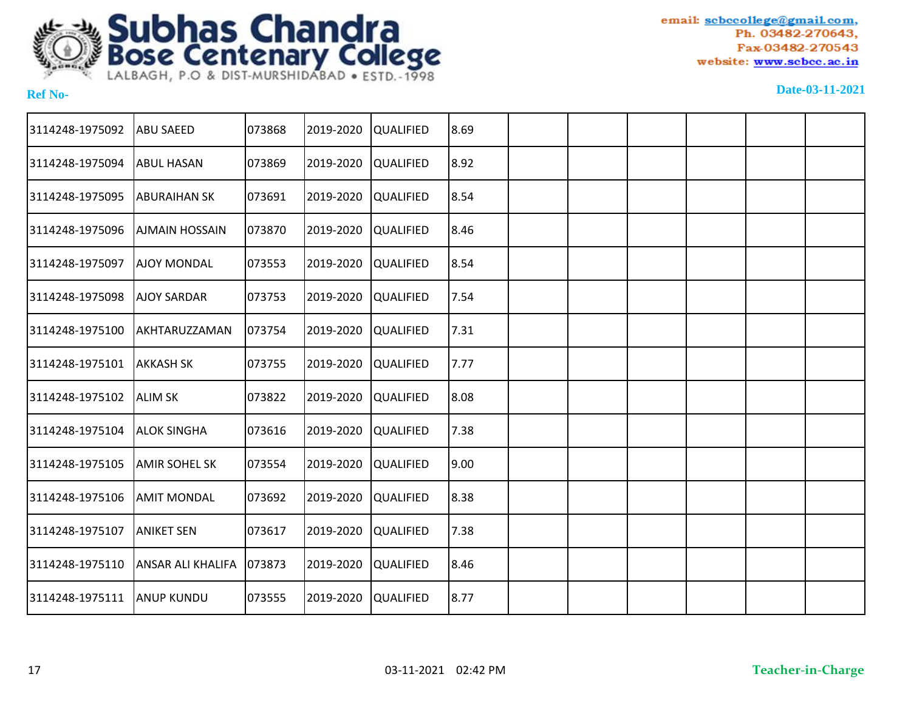

| 3114248-1975092 | <b>ABU SAEED</b>         | 073868 | 2019-2020 | QUALIFIED        | 8.69 |  |  |  |
|-----------------|--------------------------|--------|-----------|------------------|------|--|--|--|
| 3114248-1975094 | <b>ABUL HASAN</b>        | 073869 | 2019-2020 | <b>QUALIFIED</b> | 8.92 |  |  |  |
| 3114248-1975095 | <b>ABURAIHAN SK</b>      | 073691 | 2019-2020 | QUALIFIED        | 8.54 |  |  |  |
| 3114248-1975096 | <b>AJMAIN HOSSAIN</b>    | 073870 | 2019-2020 | QUALIFIED        | 8.46 |  |  |  |
| 3114248-1975097 | <b>AJOY MONDAL</b>       | 073553 | 2019-2020 | <b>QUALIFIED</b> | 8.54 |  |  |  |
| 3114248-1975098 | <b>AJOY SARDAR</b>       | 073753 | 2019-2020 | <b>QUALIFIED</b> | 7.54 |  |  |  |
| 3114248-1975100 | AKHTARUZZAMAN            | 073754 | 2019-2020 | <b>QUALIFIED</b> | 7.31 |  |  |  |
| 3114248-1975101 | <b>AKKASH SK</b>         | 073755 | 2019-2020 | <b>QUALIFIED</b> | 7.77 |  |  |  |
| 3114248-1975102 | <b>ALIM SK</b>           | 073822 | 2019-2020 | <b>QUALIFIED</b> | 8.08 |  |  |  |
| 3114248-1975104 | <b>ALOK SINGHA</b>       | 073616 | 2019-2020 | QUALIFIED        | 7.38 |  |  |  |
| 3114248-1975105 | <b>JAMIR SOHEL SK</b>    | 073554 | 2019-2020 | <b>QUALIFIED</b> | 9.00 |  |  |  |
| 3114248-1975106 | <b>AMIT MONDAL</b>       | 073692 | 2019-2020 | QUALIFIED        | 8.38 |  |  |  |
| 3114248-1975107 | <b>ANIKET SEN</b>        | 073617 | 2019-2020 | QUALIFIED        | 7.38 |  |  |  |
| 3114248-1975110 | <b>ANSAR ALI KHALIFA</b> | 073873 | 2019-2020 | QUALIFIED        | 8.46 |  |  |  |
| 3114248-1975111 | <b>ANUP KUNDU</b>        | 073555 | 2019-2020 | QUALIFIED        | 8.77 |  |  |  |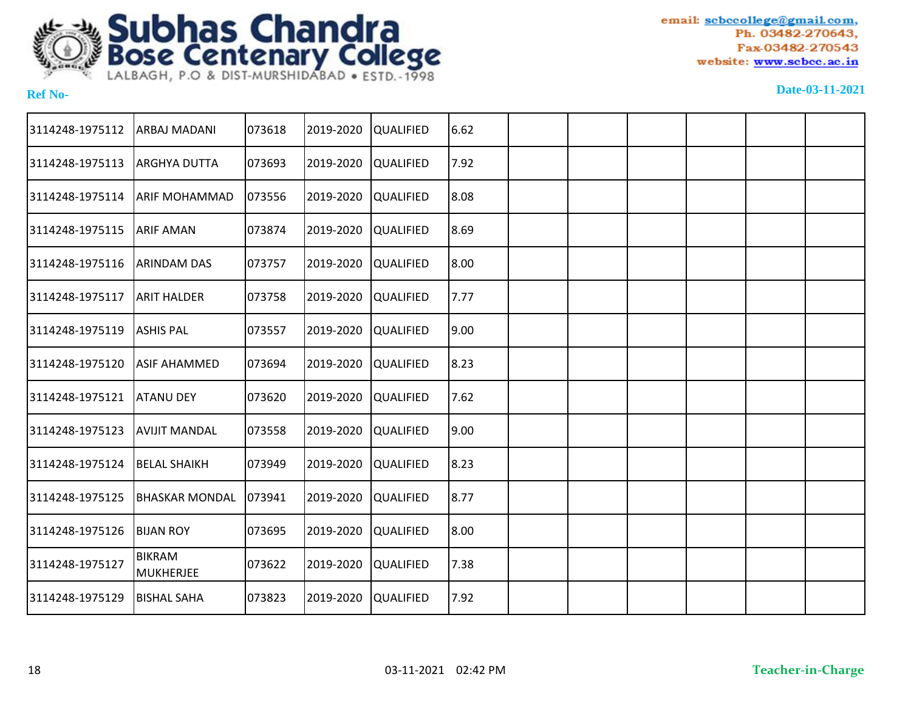

| 3114248-1975112 | <b>ARBAJ MADANI</b>        | 073618 | 2019-2020 | <b>QUALIFIED</b> | 6.62 |  |  |  |
|-----------------|----------------------------|--------|-----------|------------------|------|--|--|--|
| 3114248-1975113 | <b>ARGHYA DUTTA</b>        | 073693 | 2019-2020 | <b>QUALIFIED</b> | 7.92 |  |  |  |
| 3114248-1975114 | <b>ARIF MOHAMMAD</b>       | 073556 | 2019-2020 | <b>QUALIFIED</b> | 8.08 |  |  |  |
| 3114248-1975115 | <b>ARIF AMAN</b>           | 073874 | 2019-2020 | <b>QUALIFIED</b> | 8.69 |  |  |  |
| 3114248-1975116 | <b>ARINDAM DAS</b>         | 073757 | 2019-2020 | <b>QUALIFIED</b> | 8.00 |  |  |  |
| 3114248-1975117 | <b>ARIT HALDER</b>         | 073758 | 2019-2020 | <b>QUALIFIED</b> | 7.77 |  |  |  |
| 3114248-1975119 | <b>ASHIS PAL</b>           | 073557 | 2019-2020 | <b>QUALIFIED</b> | 9.00 |  |  |  |
| 3114248-1975120 | <b>ASIF AHAMMED</b>        | 073694 | 2019-2020 | <b>QUALIFIED</b> | 8.23 |  |  |  |
| 3114248-1975121 | <b>ATANU DEY</b>           | 073620 | 2019-2020 | <b>QUALIFIED</b> | 7.62 |  |  |  |
| 3114248-1975123 | <b>AVIJIT MANDAL</b>       | 073558 | 2019-2020 | <b>QUALIFIED</b> | 9.00 |  |  |  |
| 3114248-1975124 | <b>BELAL SHAIKH</b>        | 073949 | 2019-2020 | <b>QUALIFIED</b> | 8.23 |  |  |  |
| 3114248-1975125 | <b>BHASKAR MONDAL</b>      | 073941 | 2019-2020 | <b>QUALIFIED</b> | 8.77 |  |  |  |
| 3114248-1975126 | <b>BIJAN ROY</b>           | 073695 | 2019-2020 | <b>QUALIFIED</b> | 8.00 |  |  |  |
| 3114248-1975127 | <b>BIKRAM</b><br>MUKHERJEE | 073622 | 2019-2020 | <b>QUALIFIED</b> | 7.38 |  |  |  |
| 3114248-1975129 | <b>BISHAL SAHA</b>         | 073823 | 2019-2020 | <b>QUALIFIED</b> | 7.92 |  |  |  |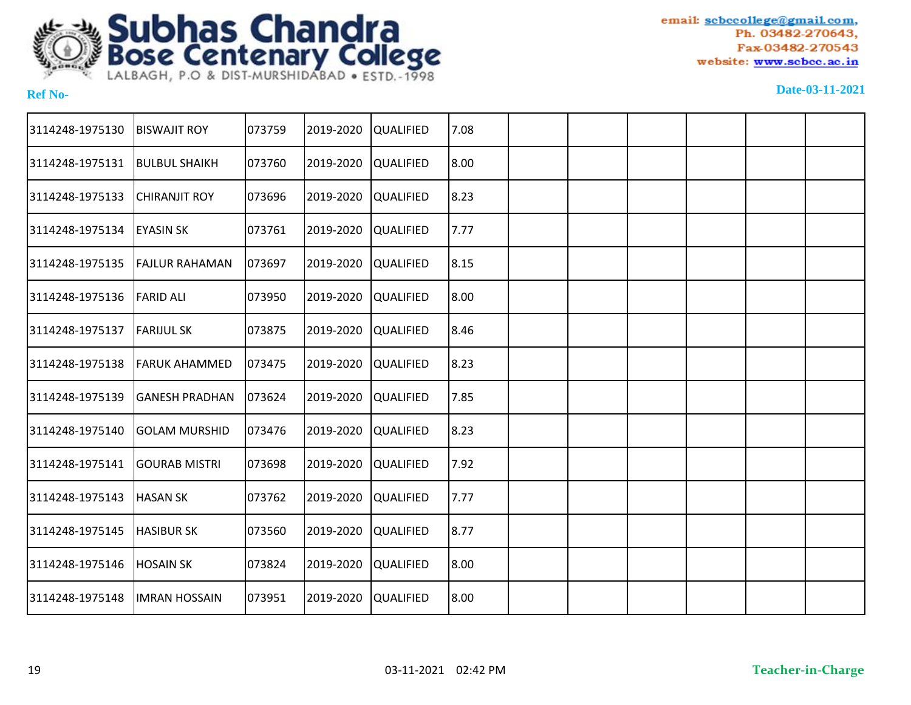

| 3114248-1975130 | <b>BISWAJIT ROY</b>   | 073759 | 2019-2020 | <b>QUALIFIED</b> | 7.08 |  |  |  |
|-----------------|-----------------------|--------|-----------|------------------|------|--|--|--|
| 3114248-1975131 | <b>BULBUL SHAIKH</b>  | 073760 | 2019-2020 | <b>QUALIFIED</b> | 8.00 |  |  |  |
| 3114248-1975133 | <b>CHIRANJIT ROY</b>  | 073696 | 2019-2020 | <b>QUALIFIED</b> | 8.23 |  |  |  |
| 3114248-1975134 | <b>EYASIN SK</b>      | 073761 | 2019-2020 | <b>QUALIFIED</b> | 7.77 |  |  |  |
| 3114248-1975135 | <b>FAJLUR RAHAMAN</b> | 073697 | 2019-2020 | <b>QUALIFIED</b> | 8.15 |  |  |  |
| 3114248-1975136 | <b>FARID ALI</b>      | 073950 | 2019-2020 | <b>QUALIFIED</b> | 8.00 |  |  |  |
| 3114248-1975137 | <b>FARIJUL SK</b>     | 073875 | 2019-2020 | <b>QUALIFIED</b> | 8.46 |  |  |  |
| 3114248-1975138 | <b>FARUK AHAMMED</b>  | 073475 | 2019-2020 | <b>QUALIFIED</b> | 8.23 |  |  |  |
| 3114248-1975139 | <b>GANESH PRADHAN</b> | 073624 | 2019-2020 | <b>QUALIFIED</b> | 7.85 |  |  |  |
| 3114248-1975140 | <b>GOLAM MURSHID</b>  | 073476 | 2019-2020 | <b>QUALIFIED</b> | 8.23 |  |  |  |
| 3114248-1975141 | <b>GOURAB MISTRI</b>  | 073698 | 2019-2020 | <b>QUALIFIED</b> | 7.92 |  |  |  |
| 3114248-1975143 | <b>HASAN SK</b>       | 073762 | 2019-2020 | <b>QUALIFIED</b> | 7.77 |  |  |  |
| 3114248-1975145 | <b>HASIBUR SK</b>     | 073560 | 2019-2020 | <b>QUALIFIED</b> | 8.77 |  |  |  |
| 3114248-1975146 | <b>HOSAIN SK</b>      | 073824 | 2019-2020 | <b>QUALIFIED</b> | 8.00 |  |  |  |
| 3114248-1975148 | <b>IMRAN HOSSAIN</b>  | 073951 | 2019-2020 | <b>QUALIFIED</b> | 8.00 |  |  |  |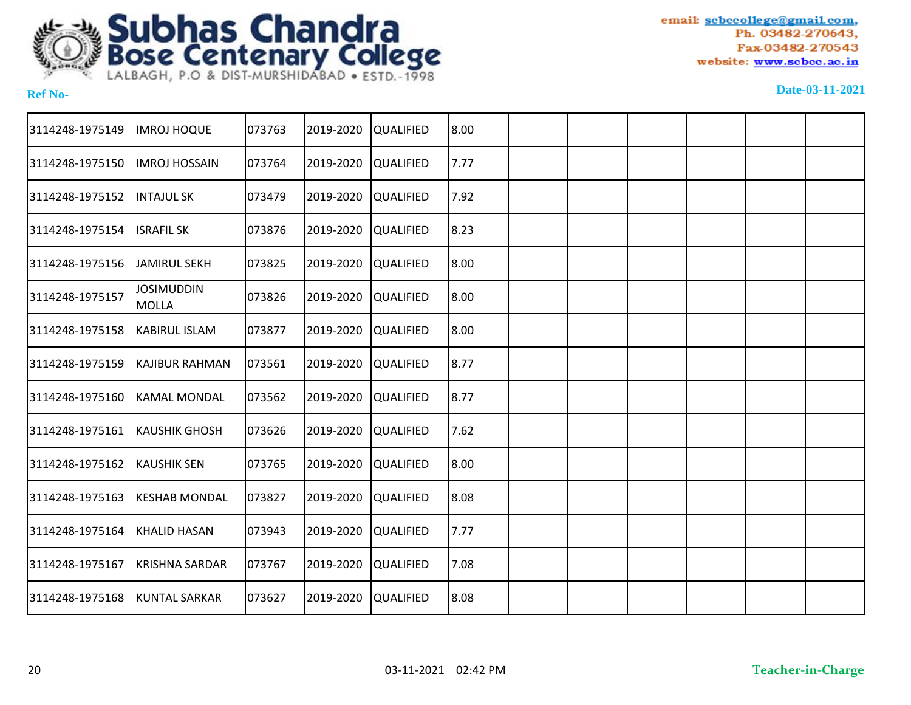

| 3114248-1975149 | <b>IMROJ HOQUE</b>                | 073763 | 2019-2020 | QUALIFIED        | 8.00 |  |  |  |
|-----------------|-----------------------------------|--------|-----------|------------------|------|--|--|--|
| 3114248-1975150 | <b>IMROJ HOSSAIN</b>              | 073764 | 2019-2020 | QUALIFIED        | 7.77 |  |  |  |
| 3114248-1975152 | <b>INTAJUL SK</b>                 | 073479 | 2019-2020 | <b>QUALIFIED</b> | 7.92 |  |  |  |
| 3114248-1975154 | <b>ISRAFIL SK</b>                 | 073876 | 2019-2020 | <b>QUALIFIED</b> | 8.23 |  |  |  |
| 3114248-1975156 | <b>JAMIRUL SEKH</b>               | 073825 | 2019-2020 | QUALIFIED        | 8.00 |  |  |  |
| 3114248-1975157 | <b>JOSIMUDDIN</b><br><b>MOLLA</b> | 073826 | 2019-2020 | <b>QUALIFIED</b> | 8.00 |  |  |  |
| 3114248-1975158 | KABIRUL ISLAM                     | 073877 | 2019-2020 | <b>QUALIFIED</b> | 8.00 |  |  |  |
| 3114248-1975159 | KAJIBUR RAHMAN                    | 073561 | 2019-2020 | <b>QUALIFIED</b> | 8.77 |  |  |  |
| 3114248-1975160 | <b>KAMAL MONDAL</b>               | 073562 | 2019-2020 | <b>QUALIFIED</b> | 8.77 |  |  |  |
| 3114248-1975161 | <b>KAUSHIK GHOSH</b>              | 073626 | 2019-2020 | <b>QUALIFIED</b> | 7.62 |  |  |  |
| 3114248-1975162 | <b>KAUSHIK SEN</b>                | 073765 | 2019-2020 | <b>QUALIFIED</b> | 8.00 |  |  |  |
| 3114248-1975163 | <b>KESHAB MONDAL</b>              | 073827 | 2019-2020 | QUALIFIED        | 8.08 |  |  |  |
| 3114248-1975164 | KHALID HASAN                      | 073943 | 2019-2020 | QUALIFIED        | 7.77 |  |  |  |
| 3114248-1975167 | <b>KRISHNA SARDAR</b>             | 073767 | 2019-2020 | QUALIFIED        | 7.08 |  |  |  |
| 3114248-1975168 | <b>KUNTAL SARKAR</b>              | 073627 | 2019-2020 | <b>QUALIFIED</b> | 8.08 |  |  |  |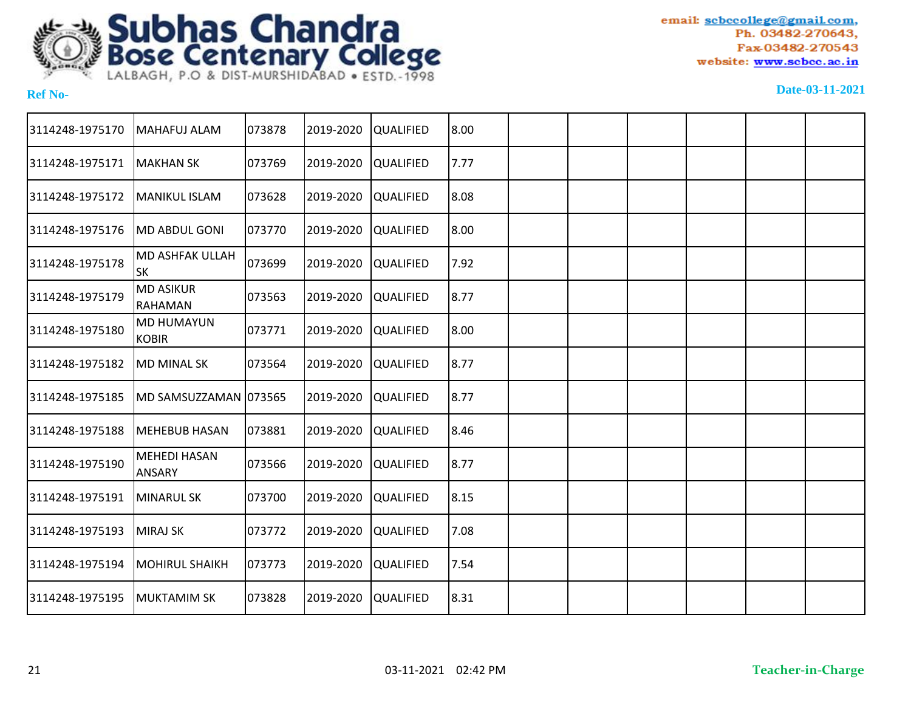

| 3114248-1975170 | MAHAFUJ ALAM                         | 073878 | 2019-2020 | QUALIFIED        | 8.00 |  |  |  |
|-----------------|--------------------------------------|--------|-----------|------------------|------|--|--|--|
| 3114248-1975171 | <b>MAKHAN SK</b>                     | 073769 | 2019-2020 | QUALIFIED        | 7.77 |  |  |  |
| 3114248-1975172 | <b>MANIKUL ISLAM</b>                 | 073628 | 2019-2020 | <b>QUALIFIED</b> | 8.08 |  |  |  |
| 3114248-1975176 | MD ABDUL GONI                        | 073770 | 2019-2020 | <b>QUALIFIED</b> | 8.00 |  |  |  |
| 3114248-1975178 | <b>MD ASHFAK ULLAH</b><br><b>SK</b>  | 073699 | 2019-2020 | QUALIFIED        | 7.92 |  |  |  |
| 3114248-1975179 | <b>MD ASIKUR</b><br>RAHAMAN          | 073563 | 2019-2020 | <b>QUALIFIED</b> | 8.77 |  |  |  |
| 3114248-1975180 | <b>MD HUMAYUN</b><br><b>KOBIR</b>    | 073771 | 2019-2020 | <b>QUALIFIED</b> | 8.00 |  |  |  |
| 3114248-1975182 | <b>MD MINAL SK</b>                   | 073564 | 2019-2020 | <b>QUALIFIED</b> | 8.77 |  |  |  |
| 3114248-1975185 | MD SAMSUZZAMAN 073565                |        | 2019-2020 | <b>QUALIFIED</b> | 8.77 |  |  |  |
| 3114248-1975188 | <b>MEHEBUB HASAN</b>                 | 073881 | 2019-2020 | <b>QUALIFIED</b> | 8.46 |  |  |  |
| 3114248-1975190 | <b>MEHEDI HASAN</b><br><b>ANSARY</b> | 073566 | 2019-2020 | <b>QUALIFIED</b> | 8.77 |  |  |  |
| 3114248-1975191 | MINARUL SK                           | 073700 | 2019-2020 | QUALIFIED        | 8.15 |  |  |  |
| 3114248-1975193 | MIRAJ SK                             | 073772 | 2019-2020 | QUALIFIED        | 7.08 |  |  |  |
| 3114248-1975194 | <b>MOHIRUL SHAIKH</b>                | 073773 | 2019-2020 | QUALIFIED        | 7.54 |  |  |  |
| 3114248-1975195 | <b>MUKTAMIM SK</b>                   | 073828 | 2019-2020 | <b>QUALIFIED</b> | 8.31 |  |  |  |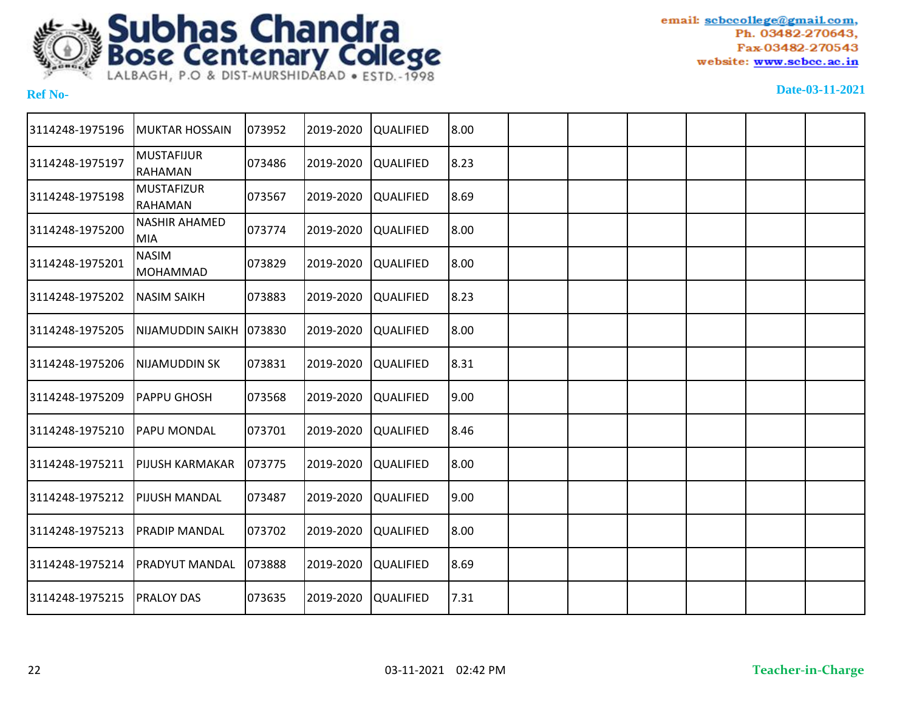

| 3114248-1975196 | <b>MUKTAR HOSSAIN</b>               | 073952 | 2019-2020 | <b>QUALIFIED</b> | 8.00 |  |  |  |
|-----------------|-------------------------------------|--------|-----------|------------------|------|--|--|--|
| 3114248-1975197 | <b>MUSTAFIJUR</b><br><b>RAHAMAN</b> | 073486 | 2019-2020 | <b>QUALIFIED</b> | 8.23 |  |  |  |
| 3114248-1975198 | <b>MUSTAFIZUR</b><br>RAHAMAN        | 073567 | 2019-2020 | <b>QUALIFIED</b> | 8.69 |  |  |  |
| 3114248-1975200 | <b>NASHIR AHAMED</b><br>MIA         | 073774 | 2019-2020 | <b>QUALIFIED</b> | 8.00 |  |  |  |
| 3114248-1975201 | <b>NASIM</b><br><b>MOHAMMAD</b>     | 073829 | 2019-2020 | <b>QUALIFIED</b> | 8.00 |  |  |  |
| 3114248-1975202 | <b>NASIM SAIKH</b>                  | 073883 | 2019-2020 | <b>QUALIFIED</b> | 8.23 |  |  |  |
| 3114248-1975205 | NIJAMUDDIN SAIKH   073830           |        | 2019-2020 | <b>QUALIFIED</b> | 8.00 |  |  |  |
| 3114248-1975206 | <b>NIJAMUDDIN SK</b>                | 073831 | 2019-2020 | <b>QUALIFIED</b> | 8.31 |  |  |  |
| 3114248-1975209 | <b>PAPPU GHOSH</b>                  | 073568 | 2019-2020 | <b>QUALIFIED</b> | 9.00 |  |  |  |
| 3114248-1975210 | <b>PAPU MONDAL</b>                  | 073701 | 2019-2020 | <b>QUALIFIED</b> | 8.46 |  |  |  |
| 3114248-1975211 | <b>PIJUSH KARMAKAR</b>              | 073775 | 2019-2020 | <b>QUALIFIED</b> | 8.00 |  |  |  |
| 3114248-1975212 | <b>PIJUSH MANDAL</b>                | 073487 | 2019-2020 | <b>QUALIFIED</b> | 9.00 |  |  |  |
| 3114248-1975213 | <b>PRADIP MANDAL</b>                | 073702 | 2019-2020 | <b>QUALIFIED</b> | 8.00 |  |  |  |
| 3114248-1975214 | PRADYUT MANDAL                      | 073888 | 2019-2020 | <b>QUALIFIED</b> | 8.69 |  |  |  |
| 3114248-1975215 | <b>PRALOY DAS</b>                   | 073635 | 2019-2020 | <b>QUALIFIED</b> | 7.31 |  |  |  |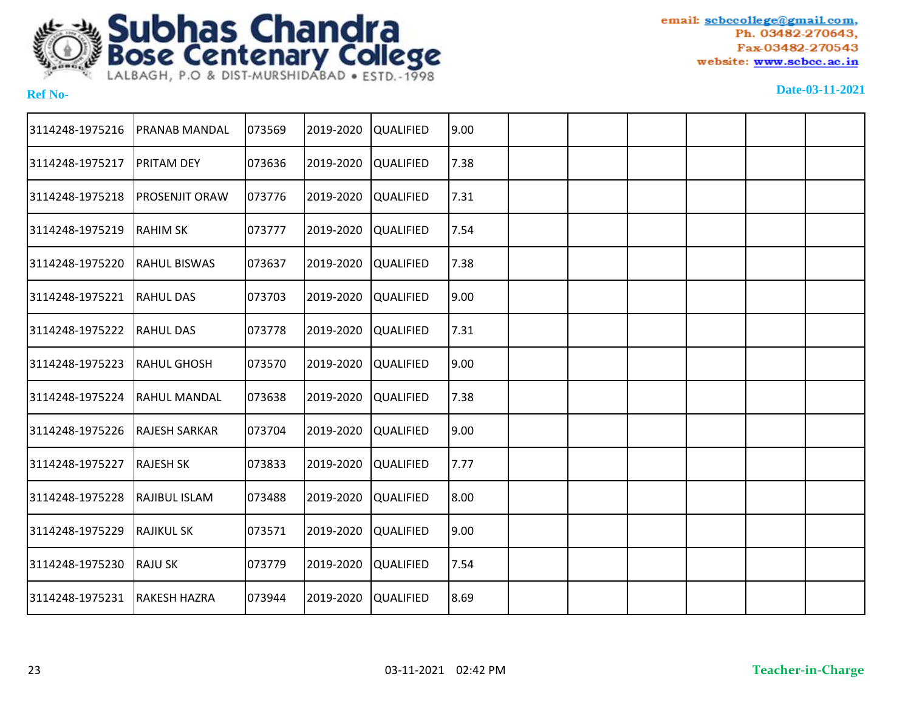

| 3114248-1975216 | <b>PRANAB MANDAL</b>  | 073569 | 2019-2020 | <b>QUALIFIED</b> | 9.00  |  |  |  |
|-----------------|-----------------------|--------|-----------|------------------|-------|--|--|--|
| 3114248-1975217 | PRITAM DEY            | 073636 | 2019-2020 | QUALIFIED        | 7.38  |  |  |  |
| 3114248-1975218 | <b>PROSENJIT ORAW</b> | 073776 | 2019-2020 | <b>QUALIFIED</b> | 7.31  |  |  |  |
| 3114248-1975219 | <b>RAHIM SK</b>       | 073777 | 2019-2020 | QUALIFIED        | 7.54  |  |  |  |
| 3114248-1975220 | <b>RAHUL BISWAS</b>   | 073637 | 2019-2020 | <b>QUALIFIED</b> | 7.38  |  |  |  |
| 3114248-1975221 | <b>RAHUL DAS</b>      | 073703 | 2019-2020 | QUALIFIED        | 9.00  |  |  |  |
| 3114248-1975222 | <b>RAHULDAS</b>       | 073778 | 2019-2020 | <b>QUALIFIED</b> | 7.31  |  |  |  |
| 3114248-1975223 | <b>RAHUL GHOSH</b>    | 073570 | 2019-2020 | <b>QUALIFIED</b> | 9.00  |  |  |  |
| 3114248-1975224 | <b>RAHUL MANDAL</b>   | 073638 | 2019-2020 | <b>QUALIFIED</b> | 7.38  |  |  |  |
| 3114248-1975226 | <b>RAJESH SARKAR</b>  | 073704 | 2019-2020 | <b>QUALIFIED</b> | 9.00  |  |  |  |
| 3114248-1975227 | <b>RAJESH SK</b>      | 073833 | 2019-2020 | <b>QUALIFIED</b> | 7.77  |  |  |  |
| 3114248-1975228 | <b>RAJIBUL ISLAM</b>  | 073488 | 2019-2020 | <b>QUALIFIED</b> | 18.00 |  |  |  |
| 3114248-1975229 | <b>RAJIKUL SK</b>     | 073571 | 2019-2020 | QUALIFIED        | 9.00  |  |  |  |
| 3114248-1975230 | <b>RAJU SK</b>        | 073779 | 2019-2020 | <b>QUALIFIED</b> | 7.54  |  |  |  |
| 3114248-1975231 | <b>RAKESH HAZRA</b>   | 073944 | 2019-2020 | QUALIFIED        | 8.69  |  |  |  |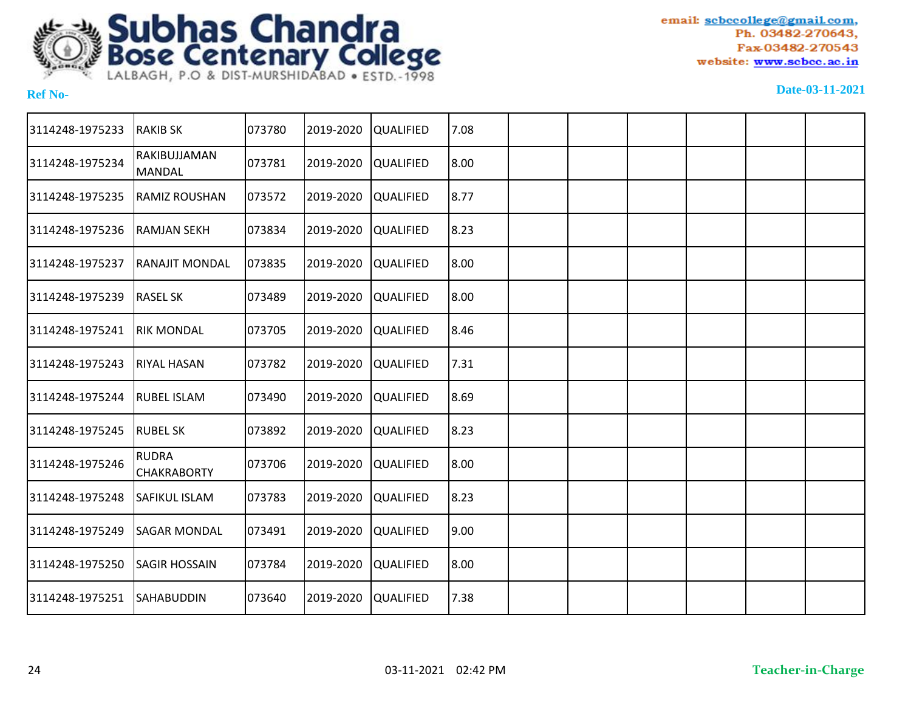

| 3114248-1975233 | <b>RAKIB SK</b>                    | 073780 | 2019-2020 | <b>QUALIFIED</b> | 7.08 |  |  |  |
|-----------------|------------------------------------|--------|-----------|------------------|------|--|--|--|
| 3114248-1975234 | RAKIBUJJAMAN<br><b>MANDAL</b>      | 073781 | 2019-2020 | <b>QUALIFIED</b> | 8.00 |  |  |  |
| 3114248-1975235 | <b>RAMIZ ROUSHAN</b>               | 073572 | 2019-2020 | <b>QUALIFIED</b> | 8.77 |  |  |  |
| 3114248-1975236 | <b>RAMJAN SEKH</b>                 | 073834 | 2019-2020 | <b>QUALIFIED</b> | 8.23 |  |  |  |
| 3114248-1975237 | <b>RANAJIT MONDAL</b>              | 073835 | 2019-2020 | <b>QUALIFIED</b> | 8.00 |  |  |  |
| 3114248-1975239 | <b>RASEL SK</b>                    | 073489 | 2019-2020 | <b>QUALIFIED</b> | 8.00 |  |  |  |
| 3114248-1975241 | <b>RIK MONDAL</b>                  | 073705 | 2019-2020 | <b>QUALIFIED</b> | 8.46 |  |  |  |
| 3114248-1975243 | <b>RIYAL HASAN</b>                 | 073782 | 2019-2020 | <b>QUALIFIED</b> | 7.31 |  |  |  |
| 3114248-1975244 | <b>RUBEL ISLAM</b>                 | 073490 | 2019-2020 | <b>QUALIFIED</b> | 8.69 |  |  |  |
| 3114248-1975245 | <b>RUBEL SK</b>                    | 073892 | 2019-2020 | <b>QUALIFIED</b> | 8.23 |  |  |  |
| 3114248-1975246 | <b>RUDRA</b><br><b>CHAKRABORTY</b> | 073706 | 2019-2020 | <b>QUALIFIED</b> | 8.00 |  |  |  |
| 3114248-1975248 | <b>SAFIKUL ISLAM</b>               | 073783 | 2019-2020 | <b>QUALIFIED</b> | 8.23 |  |  |  |
| 3114248-1975249 | <b>SAGAR MONDAL</b>                | 073491 | 2019-2020 | <b>QUALIFIED</b> | 9.00 |  |  |  |
| 3114248-1975250 | <b>SAGIR HOSSAIN</b>               | 073784 | 2019-2020 | <b>QUALIFIED</b> | 8.00 |  |  |  |
| 3114248-1975251 | <b>SAHABUDDIN</b>                  | 073640 | 2019-2020 | <b>QUALIFIED</b> | 7.38 |  |  |  |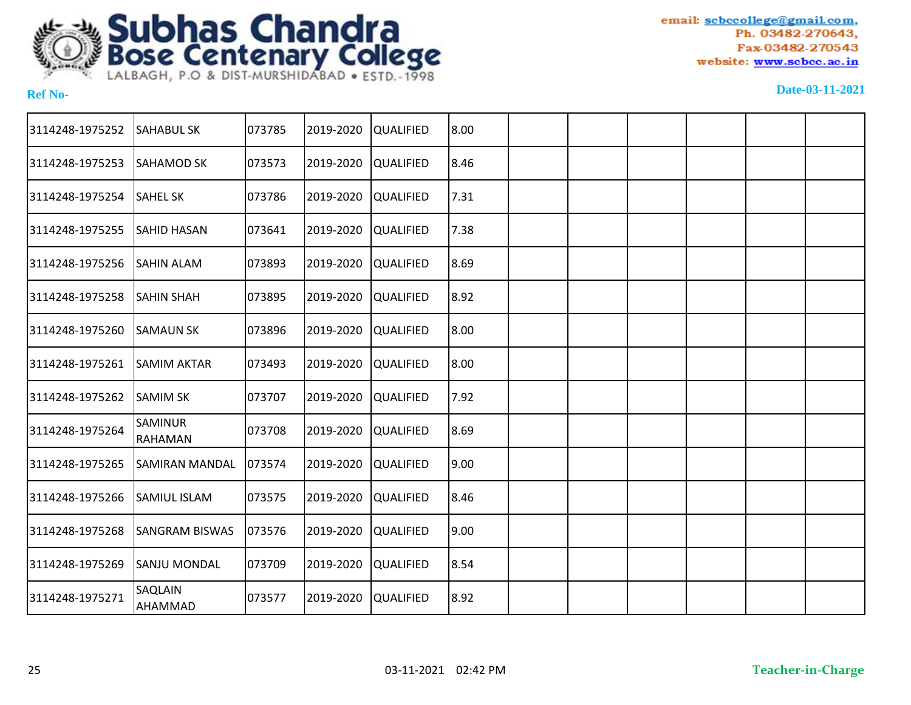

| 3114248-1975252 | <b>SAHABUL SK</b>         | 073785 | 2019-2020 | <b>QUALIFIED</b> | 8.00 |  |  |  |
|-----------------|---------------------------|--------|-----------|------------------|------|--|--|--|
| 3114248-1975253 | <b>SAHAMOD SK</b>         | 073573 | 2019-2020 | <b>QUALIFIED</b> | 8.46 |  |  |  |
| 3114248-1975254 | <b>SAHEL SK</b>           | 073786 | 2019-2020 | <b>QUALIFIED</b> | 7.31 |  |  |  |
| 3114248-1975255 | <b>SAHID HASAN</b>        | 073641 | 2019-2020 | <b>QUALIFIED</b> | 7.38 |  |  |  |
| 3114248-1975256 | <b>SAHIN ALAM</b>         | 073893 | 2019-2020 | <b>QUALIFIED</b> | 8.69 |  |  |  |
| 3114248-1975258 | <b>SAHIN SHAH</b>         | 073895 | 2019-2020 | <b>QUALIFIED</b> | 8.92 |  |  |  |
| 3114248-1975260 | <b>SAMAUN SK</b>          | 073896 | 2019-2020 | <b>QUALIFIED</b> | 8.00 |  |  |  |
| 3114248-1975261 | <b>SAMIM AKTAR</b>        | 073493 | 2019-2020 | <b>QUALIFIED</b> | 8.00 |  |  |  |
| 3114248-1975262 | <b>SAMIM SK</b>           | 073707 | 2019-2020 | <b>QUALIFIED</b> | 7.92 |  |  |  |
| 3114248-1975264 | <b>SAMINUR</b><br>RAHAMAN | 073708 | 2019-2020 | <b>QUALIFIED</b> | 8.69 |  |  |  |
| 3114248-1975265 | <b>SAMIRAN MANDAL</b>     | 073574 | 2019-2020 | <b>QUALIFIED</b> | 9.00 |  |  |  |
| 3114248-1975266 | <b>SAMIUL ISLAM</b>       | 073575 | 2019-2020 | <b>QUALIFIED</b> | 8.46 |  |  |  |
| 3114248-1975268 | <b>SANGRAM BISWAS</b>     | 073576 | 2019-2020 | <b>QUALIFIED</b> | 9.00 |  |  |  |
| 3114248-1975269 | ISANJU MONDAL             | 073709 | 2019-2020 | <b>QUALIFIED</b> | 8.54 |  |  |  |
| 3114248-1975271 | SAQLAIN<br>AHAMMAD        | 073577 | 2019-2020 | <b>QUALIFIED</b> | 8.92 |  |  |  |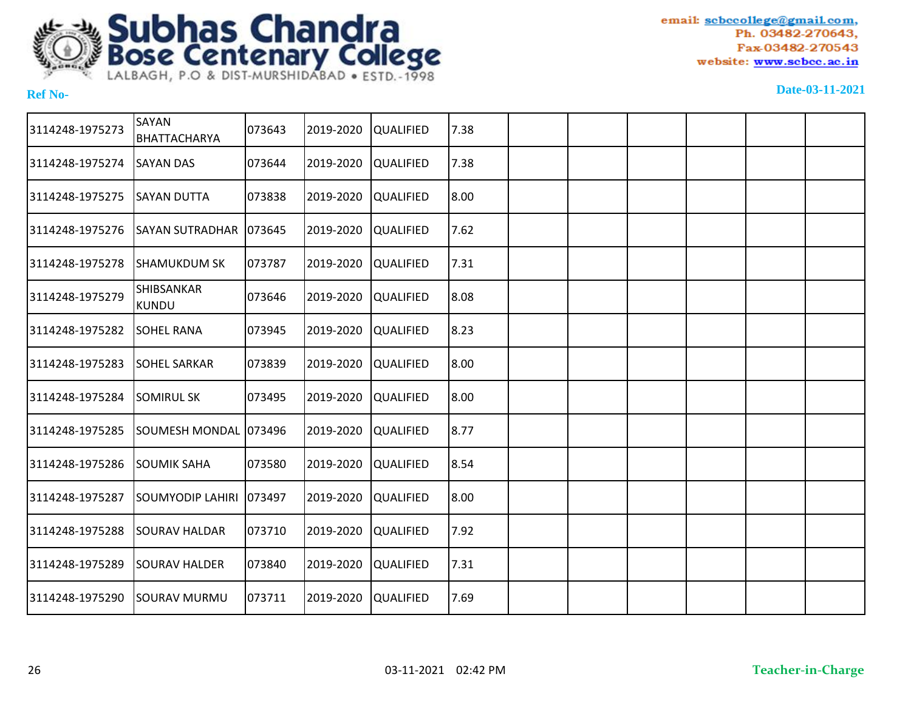

| 3114248-1975273 | SAYAN<br>BHATTACHARYA      | 073643  | 2019-2020 | <b>QUALIFIED</b> | 7.38 |  |  |  |
|-----------------|----------------------------|---------|-----------|------------------|------|--|--|--|
| 3114248-1975274 | <b>SAYAN DAS</b>           | 073644  | 2019-2020 | <b>QUALIFIED</b> | 7.38 |  |  |  |
| 3114248-1975275 | <b>SAYAN DUTTA</b>         | 073838  | 2019-2020 | <b>QUALIFIED</b> | 8.00 |  |  |  |
| 3114248-1975276 | <b>SAYAN SUTRADHAR</b>     | 073645  | 2019-2020 | <b>QUALIFIED</b> | 7.62 |  |  |  |
| 3114248-1975278 | <b>SHAMUKDUM SK</b>        | 073787  | 2019-2020 | <b>QUALIFIED</b> | 7.31 |  |  |  |
| 3114248-1975279 | SHIBSANKAR<br><b>KUNDU</b> | 073646  | 2019-2020 | <b>QUALIFIED</b> | 8.08 |  |  |  |
| 3114248-1975282 | <b>SOHEL RANA</b>          | 073945  | 2019-2020 | <b>QUALIFIED</b> | 8.23 |  |  |  |
| 3114248-1975283 | <b>SOHEL SARKAR</b>        | 073839  | 2019-2020 | <b>QUALIFIED</b> | 8.00 |  |  |  |
| 3114248-1975284 | <b>SOMIRUL SK</b>          | 073495  | 2019-2020 | <b>QUALIFIED</b> | 8.00 |  |  |  |
| 3114248-1975285 | SOUMESH MONDAL 1073496     |         | 2019-2020 | <b>QUALIFIED</b> | 8.77 |  |  |  |
| 3114248-1975286 | <b>SOUMIK SAHA</b>         | 073580  | 2019-2020 | <b>QUALIFIED</b> | 8.54 |  |  |  |
| 3114248-1975287 | <b>SOUMYODIP LAHIRI</b>    | 1073497 | 2019-2020 | <b>QUALIFIED</b> | 8.00 |  |  |  |
| 3114248-1975288 | <b>SOURAV HALDAR</b>       | 073710  | 2019-2020 | <b>QUALIFIED</b> | 7.92 |  |  |  |
| 3114248-1975289 | <b>SOURAV HALDER</b>       | 073840  | 2019-2020 | <b>QUALIFIED</b> | 7.31 |  |  |  |
| 3114248-1975290 | <b>SOURAV MURMU</b>        | 073711  | 2019-2020 | <b>QUALIFIED</b> | 7.69 |  |  |  |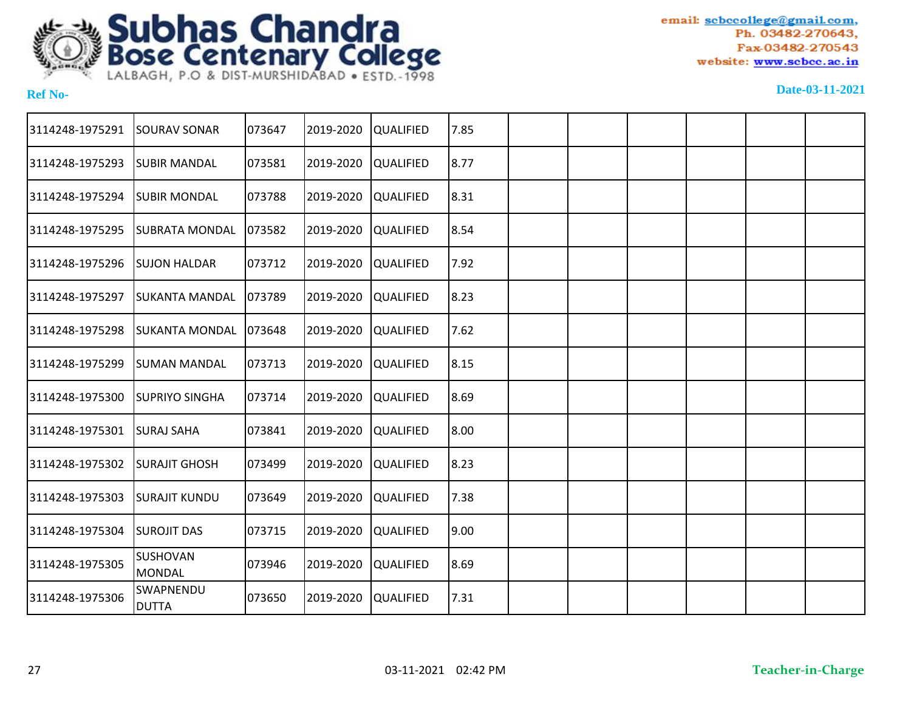

| <b>SOURAV SONAR</b>       |        | 2019-2020                                                                                        |                  | 7.85                                                                                                                                                                                                                                                                                 |                                                                                |  |  |  |
|---------------------------|--------|--------------------------------------------------------------------------------------------------|------------------|--------------------------------------------------------------------------------------------------------------------------------------------------------------------------------------------------------------------------------------------------------------------------------------|--------------------------------------------------------------------------------|--|--|--|
| <b>SUBIR MANDAL</b>       |        | 2019-2020                                                                                        |                  |                                                                                                                                                                                                                                                                                      |                                                                                |  |  |  |
| <b>SUBIR MONDAL</b>       | 073788 | 2019-2020                                                                                        |                  |                                                                                                                                                                                                                                                                                      |                                                                                |  |  |  |
| <b>SUBRATA MONDAL</b>     | 073582 | 2019-2020                                                                                        | <b>QUALIFIED</b> |                                                                                                                                                                                                                                                                                      |                                                                                |  |  |  |
| <b>SUJON HALDAR</b>       |        | 2019-2020                                                                                        |                  | 7.92                                                                                                                                                                                                                                                                                 |                                                                                |  |  |  |
| <b>SUKANTA MANDAL</b>     |        | 2019-2020                                                                                        |                  |                                                                                                                                                                                                                                                                                      |                                                                                |  |  |  |
| <b>SUKANTA MONDAL</b>     |        | 2019-2020                                                                                        |                  | 7.62                                                                                                                                                                                                                                                                                 |                                                                                |  |  |  |
| <b>SUMAN MANDAL</b>       |        | 2019-2020                                                                                        |                  |                                                                                                                                                                                                                                                                                      |                                                                                |  |  |  |
| <b>SUPRIYO SINGHA</b>     |        | 2019-2020                                                                                        |                  |                                                                                                                                                                                                                                                                                      |                                                                                |  |  |  |
| <b>SURAJ SAHA</b>         | 073841 | 2019-2020                                                                                        |                  |                                                                                                                                                                                                                                                                                      |                                                                                |  |  |  |
| <b>SURAJIT GHOSH</b>      |        | 2019-2020                                                                                        |                  |                                                                                                                                                                                                                                                                                      |                                                                                |  |  |  |
| ISURAJIT KUNDU            |        | 2019-2020                                                                                        |                  | 7.38                                                                                                                                                                                                                                                                                 |                                                                                |  |  |  |
| <b>SUROJIT DAS</b>        |        | 2019-2020                                                                                        |                  |                                                                                                                                                                                                                                                                                      |                                                                                |  |  |  |
| SUSHOVAN<br>MONDAL        | 073946 | 2019-2020                                                                                        |                  |                                                                                                                                                                                                                                                                                      |                                                                                |  |  |  |
| SWAPNENDU<br><b>DUTTA</b> | 073650 | 2019-2020                                                                                        |                  | 7.31                                                                                                                                                                                                                                                                                 |                                                                                |  |  |  |
|                           |        | 073647<br>073581<br>073712<br>073789<br>073648<br>073713<br>073714<br>073499<br>073649<br>073715 |                  | <b>QUALIFIED</b><br><b>QUALIFIED</b><br><b>QUALIFIED</b><br><b>QUALIFIED</b><br><b>QUALIFIED</b><br><b>QUALIFIED</b><br><b>QUALIFIED</b><br><b>QUALIFIED</b><br><b>QUALIFIED</b><br><b>QUALIFIED</b><br><b>QUALIFIED</b><br><b>QUALIFIED</b><br><b>QUALIFIED</b><br><b>QUALIFIED</b> | 8.77<br>8.31<br>8.54<br> 8.23 <br>8.15<br>8.69<br>8.00<br>8.23<br>9.00<br>8.69 |  |  |  |